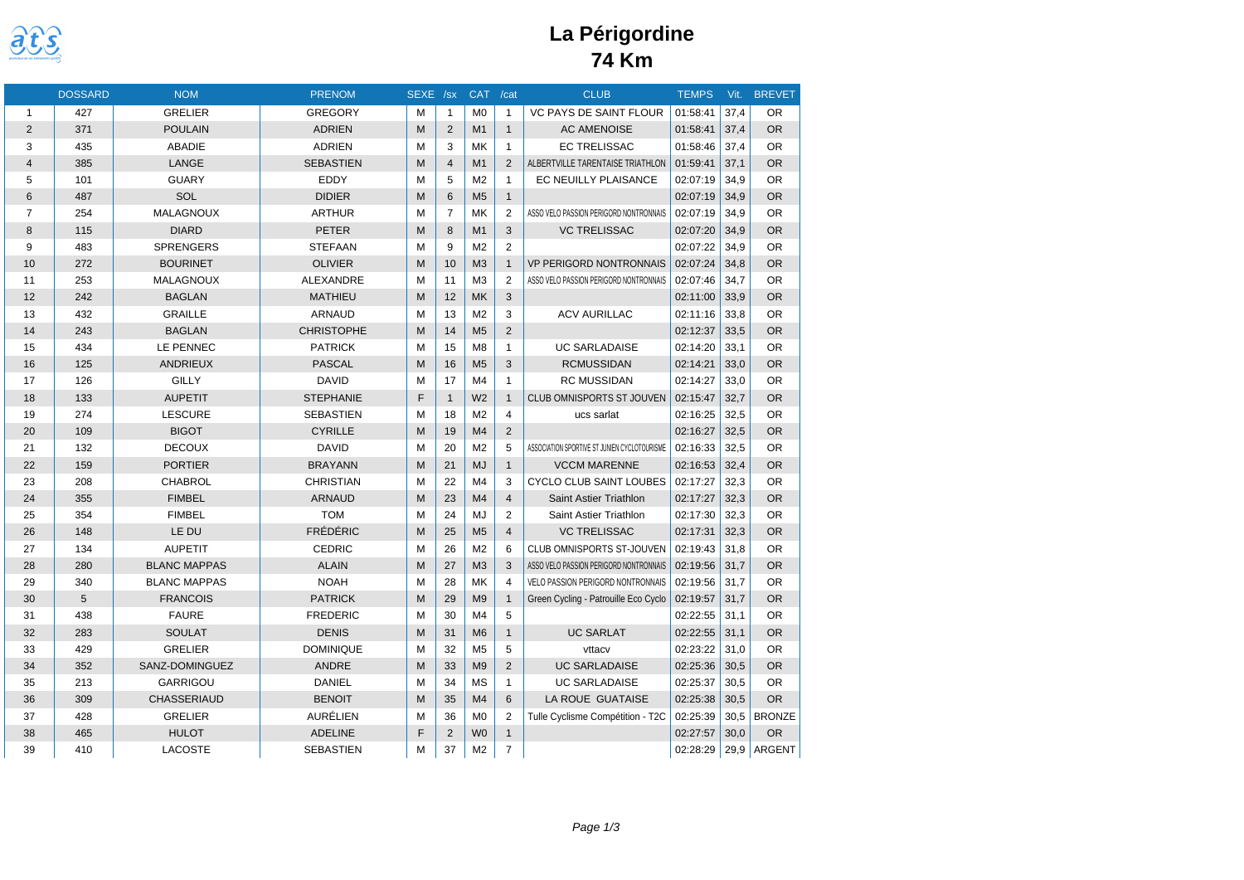

# **La Périgordine 74 Km**

|                | <b>DOSSARD</b> | <b>NOM</b>          | <b>PRENOM</b>     | SEXE /sx |                | <b>CAT</b>     | /cat           | <b>CLUB</b>                                  | <b>TEMPS</b> | Vit. | <b>BREVET</b> |
|----------------|----------------|---------------------|-------------------|----------|----------------|----------------|----------------|----------------------------------------------|--------------|------|---------------|
| $\mathbf{1}$   | 427            | <b>GRELIER</b>      | <b>GREGORY</b>    | м        | $\mathbf{1}$   | M <sub>0</sub> | $\mathbf{1}$   | <b>VC PAYS DE SAINT FLOUR</b>                | 01:58:41     | 37,4 | <b>OR</b>     |
| 2              | 371            | <b>POULAIN</b>      | <b>ADRIEN</b>     | M        | $\overline{2}$ | M1             | $\mathbf{1}$   | <b>AC AMENOISE</b>                           | 01:58:41     | 37.4 | <b>OR</b>     |
| 3              | 435            | <b>ABADIE</b>       | <b>ADRIEN</b>     | M        | 3              | <b>MK</b>      | $\mathbf{1}$   | <b>EC TRELISSAC</b>                          | 01:58:46     | 37,4 | <b>OR</b>     |
| $\overline{4}$ | 385            | LANGE               | <b>SEBASTIEN</b>  | M        | $\overline{4}$ | M1             | 2              | ALBERTVILLE TARENTAISE TRIATHLON             | 01:59:41     | 37.1 | <b>OR</b>     |
| 5              | 101            | <b>GUARY</b>        | EDDY              | M        | 5              | M <sub>2</sub> | $\mathbf{1}$   | EC NEUILLY PLAISANCE                         | 02:07:19     | 34,9 | <b>OR</b>     |
| 6              | 487            | SOL                 | <b>DIDIER</b>     | M        | 6              | M <sub>5</sub> | $\mathbf{1}$   |                                              | 02:07:19     | 34,9 | <b>OR</b>     |
| $\overline{7}$ | 254            | <b>MALAGNOUX</b>    | <b>ARTHUR</b>     | M        | $\overline{7}$ | MK             | $\overline{2}$ | ASSO VELO PASSION PERIGORD NONTRONNAIS       | 02:07:19     | 34,9 | <b>OR</b>     |
| 8              | 115            | <b>DIARD</b>        | <b>PETER</b>      | M        | 8              | M1             | 3              | <b>VC TRELISSAC</b>                          | 02:07:20     | 34,9 | <b>OR</b>     |
| 9              | 483            | <b>SPRENGERS</b>    | <b>STEFAAN</b>    | M        | 9              | M <sub>2</sub> | $\overline{2}$ |                                              | 02:07:22     | 34.9 | <b>OR</b>     |
| 10             | 272            | <b>BOURINET</b>     | <b>OLIVIER</b>    | M        | 10             | M <sub>3</sub> | $\mathbf{1}$   | <b>VP PERIGORD NONTRONNAIS</b>               | 02:07:24     | 34,8 | <b>OR</b>     |
| 11             | 253            | MALAGNOUX           | ALEXANDRE         | M        | 11             | M <sub>3</sub> | $\overline{2}$ | ASSO VELO PASSION PERIGORD NONTRONNAIS       | 02:07:46     | 34,7 | <b>OR</b>     |
| 12             | 242            | <b>BAGLAN</b>       | <b>MATHIEU</b>    | M        | 12             | <b>MK</b>      | 3              |                                              | 02:11:00     | 33,9 | <b>OR</b>     |
| 13             | 432            | <b>GRAILLE</b>      | ARNAUD            | M        | 13             | M <sub>2</sub> | 3              | <b>ACV AURILLAC</b>                          | 02:11:16     | 33,8 | <b>OR</b>     |
| 14             | 243            | <b>BAGLAN</b>       | <b>CHRISTOPHE</b> | M        | 14             | M <sub>5</sub> | $\overline{2}$ |                                              | 02:12:37     | 33,5 | <b>OR</b>     |
| 15             | 434            | LE PENNEC           | <b>PATRICK</b>    | M        | 15             | M <sub>8</sub> | $\mathbf{1}$   | <b>UC SARLADAISE</b>                         | 02:14:20     | 33,1 | <b>OR</b>     |
| 16             | 125            | ANDRIEUX            | <b>PASCAL</b>     | M        | 16             | M <sub>5</sub> | 3              | <b>RCMUSSIDAN</b>                            | 02:14:21     | 33,0 | <b>OR</b>     |
| 17             | 126            | <b>GILLY</b>        | <b>DAVID</b>      | M        | 17             | M4             | $\mathbf{1}$   | <b>RC MUSSIDAN</b>                           | 02:14:27     | 33,0 | <b>OR</b>     |
| 18             | 133            | <b>AUPETIT</b>      | <b>STEPHANIE</b>  | E        | $\overline{1}$ | W <sub>2</sub> | $\mathbf{1}$   | <b>CLUB OMNISPORTS ST JOUVEN</b>             | 02:15:47     | 32,7 | <b>OR</b>     |
| 19             | 274            | <b>LESCURE</b>      | <b>SEBASTIEN</b>  | M        | 18             | M <sub>2</sub> | $\overline{4}$ | ucs sarlat                                   | 02:16:25     | 32.5 | <b>OR</b>     |
| 20             | 109            | <b>BIGOT</b>        | <b>CYRILLE</b>    | M        | 19             | M4             | $\overline{2}$ |                                              | 02:16:27     | 32,5 | <b>OR</b>     |
| 21             | 132            | <b>DECOUX</b>       | <b>DAVID</b>      | M        | 20             | M <sub>2</sub> | 5              | ASSOCIATION SPORTIVE ST JUNIEN CYCLOTOURISME | 02:16:33     | 32,5 | <b>OR</b>     |
| 22             | 159            | <b>PORTIER</b>      | <b>BRAYANN</b>    | M        | 21             | <b>MJ</b>      | $\mathbf{1}$   | <b>VCCM MARENNE</b>                          | 02:16:53     | 32,4 | <b>OR</b>     |
| 23             | 208            | <b>CHABROL</b>      | <b>CHRISTIAN</b>  | M        | 22             | M <sub>4</sub> | 3              | CYCLO CLUB SAINT LOUBES                      | 02:17:27     | 32,3 | <b>OR</b>     |
| 24             | 355            | <b>FIMBEL</b>       | <b>ARNAUD</b>     | M        | 23             | M <sub>4</sub> | $\overline{4}$ | Saint Astier Triathlon                       | 02:17:27     | 32,3 | <b>OR</b>     |
| 25             | 354            | <b>FIMBEL</b>       | <b>TOM</b>        | M        | 24             | MJ             | $\overline{2}$ | Saint Astier Triathlon                       | 02:17:30     | 32,3 | <b>OR</b>     |
| 26             | 148            | LE DU               | <b>FRÉDÉRIC</b>   | M        | 25             | M <sub>5</sub> | $\overline{4}$ | <b>VC TRELISSAC</b>                          | 02:17:31     | 32.3 | <b>OR</b>     |
| 27             | 134            | <b>AUPETIT</b>      | <b>CEDRIC</b>     | M        | 26             | M <sub>2</sub> | 6              | CLUB OMNISPORTS ST-JOUVEN                    | 02:19:43     | 31,8 | <b>OR</b>     |
| 28             | 280            | <b>BLANC MAPPAS</b> | <b>ALAIN</b>      | M        | 27             | M <sub>3</sub> | 3              | ASSO VELO PASSION PERIGORD NONTRONNAIS       | 02:19:56     | 31,7 | <b>OR</b>     |
| 29             | 340            | <b>BLANC MAPPAS</b> | <b>NOAH</b>       | M        | 28             | <b>MK</b>      | 4              | <b>VELO PASSION PERIGORD NONTRONNAIS</b>     | 02:19:56     | 31,7 | <b>OR</b>     |
| 30             | 5              | <b>FRANCOIS</b>     | <b>PATRICK</b>    | M        | 29             | M <sub>9</sub> | $\mathbf{1}$   | Green Cycling - Patrouille Eco Cyclo         | 02:19:57     | 31.7 | <b>OR</b>     |
| 31             | 438            | <b>FAURE</b>        | <b>FREDERIC</b>   | M        | 30             | M <sub>4</sub> | 5              |                                              | 02:22:55     | 31,1 | <b>OR</b>     |
| 32             | 283            | <b>SOULAT</b>       | <b>DENIS</b>      | M        | 31             | M <sub>6</sub> | $\mathbf{1}$   | <b>UC SARLAT</b>                             | 02:22:55     | 31,1 | OR            |
| 33             | 429            | <b>GRELIER</b>      | <b>DOMINIQUE</b>  | M        | 32             | M <sub>5</sub> | 5              | vttacv                                       | 02:23:22     | 31.0 | <b>OR</b>     |
| 34             | 352            | SANZ-DOMINGUEZ      | ANDRE             | M        | 33             | M <sub>9</sub> | $\overline{2}$ | <b>UC SARLADAISE</b>                         | 02:25:36     | 30,5 | <b>OR</b>     |
| 35             | 213            | <b>GARRIGOU</b>     | <b>DANIEL</b>     | M        | 34             | MS             | $\mathbf{1}$   | <b>UC SARLADAISE</b>                         | 02:25:37     | 30,5 | <b>OR</b>     |
| 36             | 309            | CHASSERIAUD         | <b>BENOIT</b>     | M        | 35             | M <sub>4</sub> | 6              | LA ROUE GUATAISE                             | 02:25:38     | 30,5 | <b>OR</b>     |
| 37             | 428            | <b>GRELIER</b>      | AURÉLIEN          | M        | 36             | M <sub>0</sub> | 2              | Tulle Cyclisme Compétition - T2C             | 02:25:39     | 30,5 | <b>BRONZE</b> |
| 38             | 465            | <b>HULOT</b>        | <b>ADELINE</b>    | F        | $\overline{2}$ | W <sub>0</sub> | $\mathbf{1}$   |                                              | 02:27:57     | 30,0 | <b>OR</b>     |
| 39             | 410            | <b>LACOSTE</b>      | <b>SEBASTIEN</b>  | M        | 37             | M <sub>2</sub> | $\overline{7}$ |                                              | 02:28:29     |      | 29,9 ARGENT   |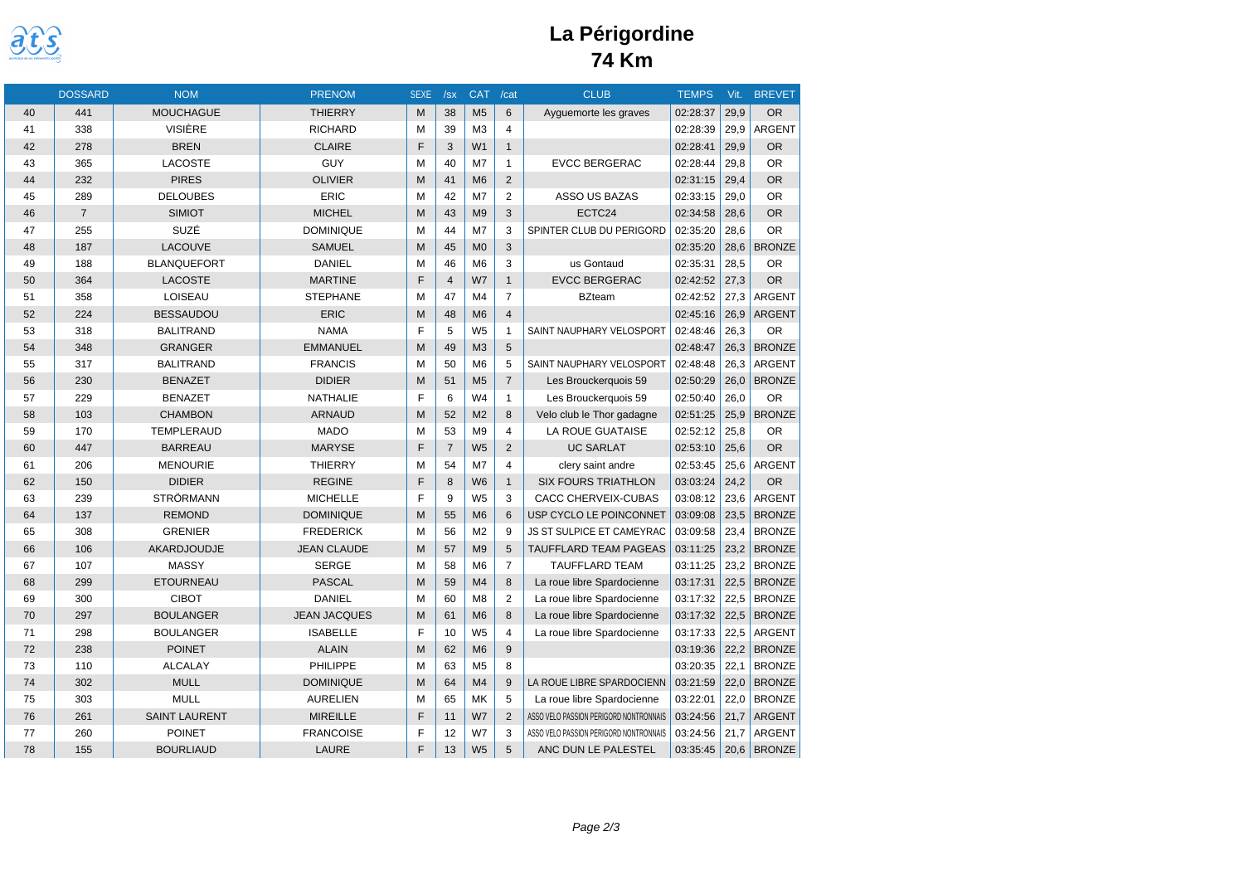

# **La Périgordine 74 Km**

|    | <b>DOSSARD</b> | <b>NOM</b>           | <b>PRENOM</b>       | <b>SEXE</b> | /sx            | <b>CAT</b>     | /cat           | <b>CLUB</b>                            | <b>TEMPS</b> | Vit. | <b>BREVET</b> |
|----|----------------|----------------------|---------------------|-------------|----------------|----------------|----------------|----------------------------------------|--------------|------|---------------|
| 40 | 441            | <b>MOUCHAGUE</b>     | <b>THIERRY</b>      | M           | 38             | M <sub>5</sub> | 6              | Ayguemorte les graves                  | 02:28:37     | 29,9 | <b>OR</b>     |
| 41 | 338            | <b>VISIÈRE</b>       | <b>RICHARD</b>      | M           | 39             | M <sub>3</sub> | $\overline{4}$ |                                        | 02:28:39     | 29.9 | <b>ARGENT</b> |
| 42 | 278            | <b>BREN</b>          | <b>CLAIRE</b>       | F           | 3              | W1             | $\mathbf{1}$   |                                        | 02:28:41     | 29,9 | <b>OR</b>     |
| 43 | 365            | LACOSTE              | GUY                 | M           | 40             | M7             | $\mathbf{1}$   | <b>EVCC BERGERAC</b>                   | 02:28:44     | 29,8 | <b>OR</b>     |
| 44 | 232            | <b>PIRES</b>         | <b>OLIVIER</b>      | M           | 41             | M <sub>6</sub> | $\overline{2}$ |                                        | 02:31:15     | 29,4 | <b>OR</b>     |
| 45 | 289            | <b>DELOUBES</b>      | <b>ERIC</b>         | M           | 42             | M7             | $\overline{2}$ | ASSO US BAZAS                          | 02:33:15     | 29,0 | <b>OR</b>     |
| 46 | $\overline{7}$ | <b>SIMIOT</b>        | <b>MICHEL</b>       | M           | 43             | M <sub>9</sub> | 3              | ECTC24                                 | 02:34:58     | 28,6 | <b>OR</b>     |
| 47 | 255            | SUZÉ                 | <b>DOMINIQUE</b>    | M           | 44             | M7             | 3              | SPINTER CLUB DU PERIGORD               | 02:35:20     | 28.6 | <b>OR</b>     |
| 48 | 187            | LACOUVE              | <b>SAMUEL</b>       | M           | 45             | M <sub>0</sub> | 3              |                                        | 02:35:20     | 28,6 | <b>BRONZE</b> |
| 49 | 188            | <b>BLANQUEFORT</b>   | <b>DANIEL</b>       | M           | 46             | M <sub>6</sub> | 3              | us Gontaud                             | 02:35:31     | 28,5 | <b>OR</b>     |
| 50 | 364            | <b>LACOSTE</b>       | <b>MARTINE</b>      | F           | $\overline{4}$ | W7             | $\mathbf{1}$   | <b>EVCC BERGERAC</b>                   | 02:42:52     | 27,3 | <b>OR</b>     |
| 51 | 358            | LOISEAU              | <b>STEPHANE</b>     | M           | 47             | M <sub>4</sub> | $\overline{7}$ | <b>BZteam</b>                          | 02:42:52     | 27,3 | ARGENT        |
| 52 | 224            | <b>BESSAUDOU</b>     | ERIC                | M           | 48             | M <sub>6</sub> | $\overline{4}$ |                                        | 02:45:16     | 26,9 | <b>ARGENT</b> |
| 53 | 318            | <b>BALITRAND</b>     | <b>NAMA</b>         | F           | 5              | W <sub>5</sub> | $\mathbf{1}$   | SAINT NAUPHARY VELOSPORT               | 02:48:46     | 26,3 | <b>OR</b>     |
| 54 | 348            | <b>GRANGER</b>       | <b>EMMANUEL</b>     | M           | 49             | M <sub>3</sub> | 5              |                                        | 02:48:47     | 26,3 | <b>BRONZE</b> |
| 55 | 317            | <b>BALITRAND</b>     | <b>FRANCIS</b>      | M           | 50             | M <sub>6</sub> | 5              | SAINT NAUPHARY VELOSPORT               | 02:48:48     | 26.3 | <b>ARGENT</b> |
| 56 | 230            | <b>BENAZET</b>       | <b>DIDIER</b>       | M           | 51             | M <sub>5</sub> | $\overline{7}$ | Les Brouckerquois 59                   | 02:50:29     | 26,0 | <b>BRONZE</b> |
| 57 | 229            | <b>BENAZET</b>       | <b>NATHALIE</b>     | F           | 6              | W <sub>4</sub> | $\mathbf{1}$   | Les Brouckerquois 59                   | 02:50:40     | 26,0 | <b>OR</b>     |
| 58 | 103            | <b>CHAMBON</b>       | <b>ARNAUD</b>       | M           | 52             | M <sub>2</sub> | 8              | Velo club le Thor gadagne              | 02:51:25     | 25,9 | <b>BRONZE</b> |
| 59 | 170            | <b>TEMPLERAUD</b>    | <b>MADO</b>         | M           | 53             | M <sub>9</sub> | $\overline{4}$ | LA ROUE GUATAISE                       | 02:52:12     | 25,8 | <b>OR</b>     |
| 60 | 447            | <b>BARREAU</b>       | <b>MARYSE</b>       | F           | $\overline{7}$ | W <sub>5</sub> | $\overline{2}$ | <b>UC SARLAT</b>                       | 02:53:10     | 25,6 | <b>OR</b>     |
| 61 | 206            | <b>MENOURIE</b>      | <b>THIERRY</b>      | M           | 54             | M7             | $\overline{4}$ | clery saint andre                      | 02:53:45     | 25,6 | ARGENT        |
| 62 | 150            | <b>DIDIER</b>        | <b>REGINE</b>       | E           | 8              | W <sub>6</sub> | $\mathbf{1}$   | <b>SIX FOURS TRIATHLON</b>             | 03:03:24     | 24,2 | <b>OR</b>     |
| 63 | 239            | <b>STRÖRMANN</b>     | <b>MICHELLE</b>     | E           | 9              | W <sub>5</sub> | 3              | CACC CHERVEIX-CUBAS                    | 03:08:12     | 23,6 | ARGENT        |
| 64 | 137            | <b>REMOND</b>        | <b>DOMINIQUE</b>    | M           | 55             | M <sub>6</sub> | 6              | USP CYCLO LE POINCONNET                | 03:09:08     | 23,5 | <b>BRONZE</b> |
| 65 | 308            | <b>GRENIER</b>       | <b>FREDERICK</b>    | M           | 56             | M <sub>2</sub> | 9              | <b>JS ST SULPICE ET CAMEYRAC</b>       | 03:09:58     | 23,4 | <b>BRONZE</b> |
| 66 | 106            | AKARDJOUDJE          | <b>JEAN CLAUDE</b>  | M           | 57             | M <sub>9</sub> | 5              | <b>TAUFFLARD TEAM PAGEAS</b>           | 03:11:25     | 23,2 | <b>BRONZE</b> |
| 67 | 107            | <b>MASSY</b>         | <b>SERGE</b>        | M           | 58             | M <sub>6</sub> | $\overline{7}$ | <b>TAUFFLARD TEAM</b>                  | 03:11:25     | 23,2 | <b>BRONZE</b> |
| 68 | 299            | <b>ETOURNEAU</b>     | <b>PASCAL</b>       | M           | 59             | M <sub>4</sub> | 8              | La roue libre Spardocienne             | 03:17:31     | 22,5 | <b>BRONZE</b> |
| 69 | 300            | <b>CIBOT</b>         | <b>DANIEL</b>       | M           | 60             | M <sub>8</sub> | 2              | La roue libre Spardocienne             | 03:17:32     | 22,5 | <b>BRONZE</b> |
| 70 | 297            | <b>BOULANGER</b>     | <b>JEAN JACQUES</b> | M           | 61             | M <sub>6</sub> | 8              | La roue libre Spardocienne             | 03:17:32     | 22,5 | <b>BRONZE</b> |
| 71 | 298            | <b>BOULANGER</b>     | <b>ISABELLE</b>     | F           | 10             | W <sub>5</sub> | $\overline{4}$ | La roue libre Spardocienne             | 03:17:33     | 22,5 | ARGENT        |
| 72 | 238            | <b>POINET</b>        | <b>ALAIN</b>        | M           | 62             | M <sub>6</sub> | 9              |                                        | 03:19:36     | 22,2 | <b>BRONZE</b> |
| 73 | 110            | <b>ALCALAY</b>       | PHILIPPE            | M           | 63             | M <sub>5</sub> | 8              |                                        | 03:20:35     | 22,1 | <b>BRONZE</b> |
| 74 | 302            | <b>MULL</b>          | <b>DOMINIQUE</b>    | M           | 64             | M4             | 9              | LA ROUE LIBRE SPARDOCIENN              | 03:21:59     | 22,0 | <b>BRONZE</b> |
| 75 | 303            | <b>MULL</b>          | <b>AURELIEN</b>     | M           | 65             | <b>MK</b>      | 5              | La roue libre Spardocienne             | 03:22:01     | 22,0 | <b>BRONZE</b> |
| 76 | 261            | <b>SAINT LAURENT</b> | <b>MIREILLE</b>     | E           | 11             | W7             | 2              | ASSO VELO PASSION PERIGORD NONTRONNAIS | 03:24:56     | 21,7 | <b>ARGENT</b> |
| 77 | 260            | <b>POINET</b>        | <b>FRANCOISE</b>    | E           | 12             | W7             | 3              | ASSO VELO PASSION PERIGORD NONTRONNAIS | 03:24:56     | 21,7 | <b>ARGENT</b> |
| 78 | 155            | <b>BOURLIAUD</b>     | <b>LAURE</b>        | F           | 13             | W <sub>5</sub> | 5              | ANC DUN LE PALESTEL                    | 03:35:45     | 20,6 | BRONZE        |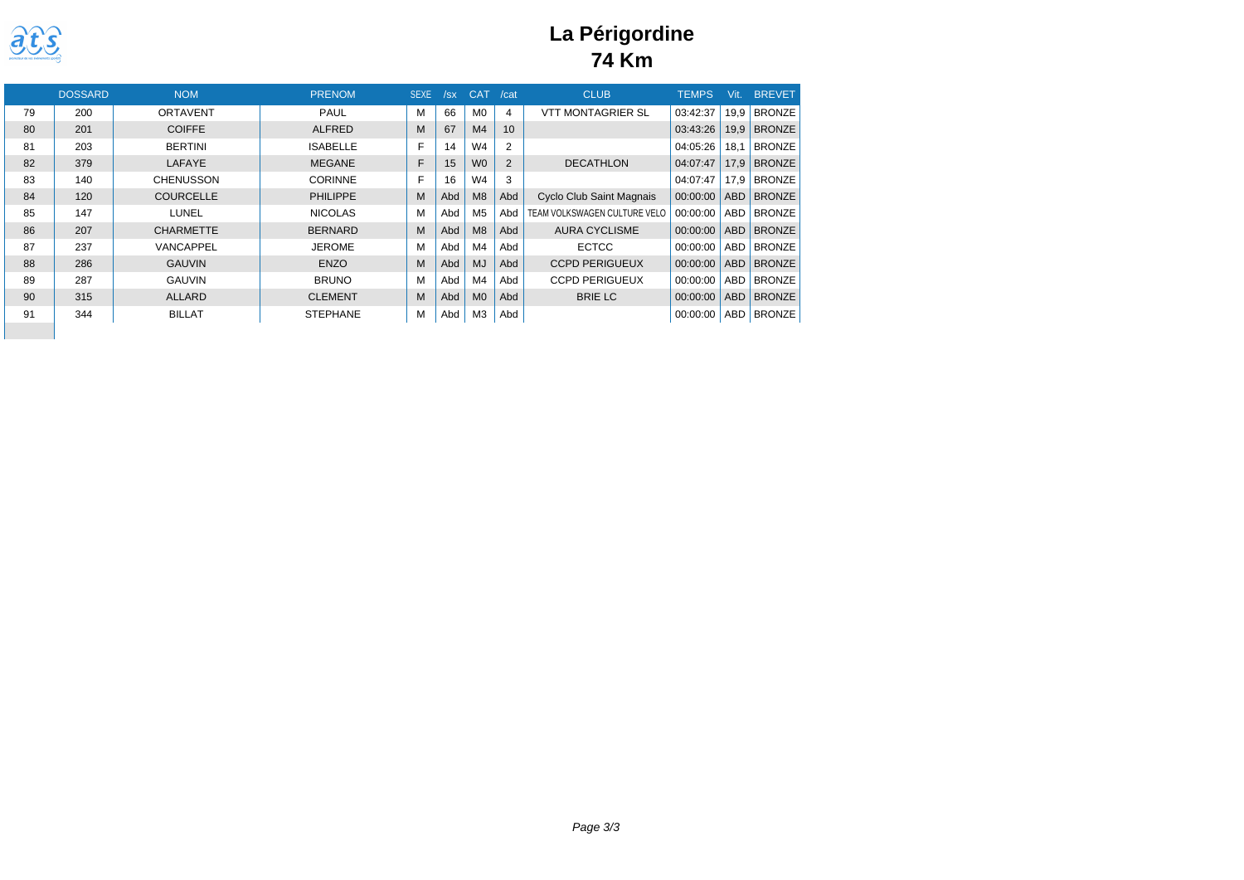

## **La Périgordine 74 Km**

|    | <b>DOSSARD</b> | <b>NOM</b>       | <b>PRENOM</b>   | <b>SEXE</b> | /sx | CAT            | /cat           | <b>CLUB</b>                     | <b>TEMPS</b> | Vit.       | <b>BREVET</b> |
|----|----------------|------------------|-----------------|-------------|-----|----------------|----------------|---------------------------------|--------------|------------|---------------|
| 79 | 200            | <b>ORTAVENT</b>  | <b>PAUL</b>     | М           | 66  | M <sub>0</sub> | 4              | <b>VTT MONTAGRIER SL</b>        | 03:42:37     | 19.9       | <b>BRONZE</b> |
| 80 | 201            | <b>COIFFE</b>    | <b>ALFRED</b>   | М           | 67  | M <sub>4</sub> | 10             |                                 | 03:43:26     | 19.9       | <b>BRONZE</b> |
| 81 | 203            | <b>BERTINI</b>   | <b>ISABELLE</b> | E           | 14  | W4             | $\overline{2}$ |                                 | 04:05:26     | 18.1       | <b>BRONZE</b> |
| 82 | 379            | LAFAYE           | <b>MEGANE</b>   | F           | 15  | <b>WO</b>      | $\overline{2}$ | <b>DECATHLON</b>                | 04:07:47     | 17.9       | <b>BRONZE</b> |
| 83 | 140            | <b>CHENUSSON</b> | <b>CORINNE</b>  | F           | 16  | W4             | 3              |                                 | 04:07:47     | 17.9       | <b>BRONZE</b> |
| 84 | 120            | <b>COURCELLE</b> | <b>PHILIPPE</b> | M           | Abd | M8             | Abd            | <b>Cyclo Club Saint Magnais</b> | 00:00:00     | <b>ABD</b> | <b>BRONZE</b> |
| 85 | 147            | LUNEL            | <b>NICOLAS</b>  | М           | Abd | M <sub>5</sub> | Abd            | TEAM VOLKSWAGEN CULTURE VELO    | 00:00:00     | ABD        | <b>BRONZE</b> |
| 86 | 207            | <b>CHARMETTE</b> | <b>BERNARD</b>  | M           | Abd | M8             | Abd            | <b>AURA CYCLISME</b>            | 00:00:00     | <b>ABD</b> | <b>BRONZE</b> |
| 87 | 237            | VANCAPPEL        | <b>JEROME</b>   | М           | Abd | M <sub>4</sub> | Abd            | <b>ECTCC</b>                    | 00:00:00     | <b>ABD</b> | <b>BRONZE</b> |
| 88 | 286            | <b>GAUVIN</b>    | <b>ENZO</b>     | М           | Abd | <b>MJ</b>      | Abd            | <b>CCPD PERIGUEUX</b>           | 00:00:00     | <b>ABD</b> | <b>BRONZE</b> |
| 89 | 287            | <b>GAUVIN</b>    | <b>BRUNO</b>    | м           | Abd | M4             | Abd            | <b>CCPD PERIGUEUX</b>           | 00:00:00     | <b>ABD</b> | <b>BRONZE</b> |
| 90 | 315            | <b>ALLARD</b>    | <b>CLEMENT</b>  | М           | Abd | M <sub>0</sub> | Abd            | <b>BRIE LC</b>                  | 00:00:00     | <b>ABD</b> | <b>BRONZE</b> |
| 91 | 344            | <b>BILLAT</b>    | <b>STEPHANE</b> | M           | Abd | M3             | Abd            |                                 | 00:00:00     | <b>ABD</b> | <b>BRONZE</b> |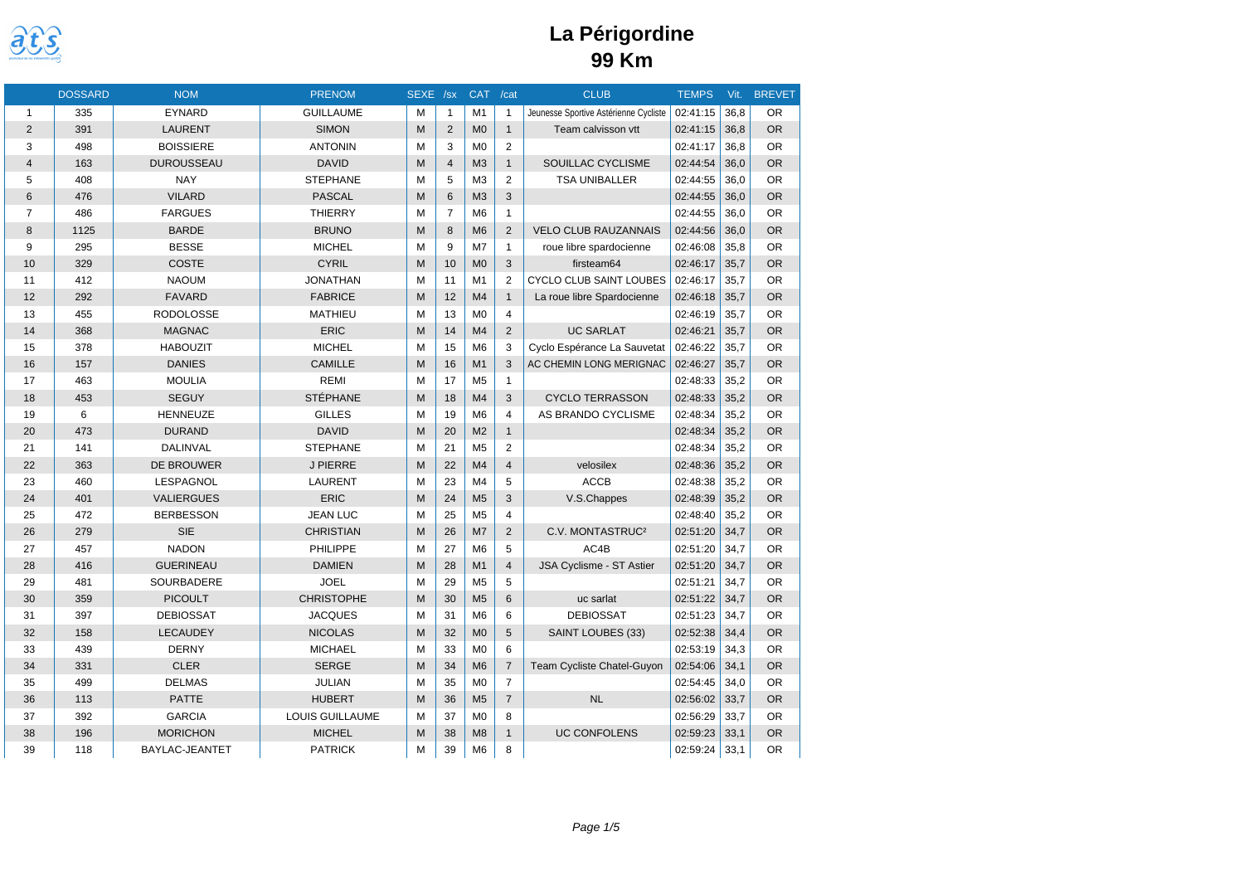

|                | <b>DOSSARD</b> | <b>NOM</b>        | <b>PRENOM</b>     | SEXE /sx |                | <b>CAT</b>     | /cat           | <b>CLUB</b>                           | <b>TEMPS</b> | $V$ it. | <b>BREVET</b> |
|----------------|----------------|-------------------|-------------------|----------|----------------|----------------|----------------|---------------------------------------|--------------|---------|---------------|
| $\mathbf{1}$   | 335            | <b>EYNARD</b>     | <b>GUILLAUME</b>  | M        | $\mathbf{1}$   | M1             | $\mathbf{1}$   | Jeunesse Sportive Astérienne Cycliste | 02:41:15     | 36,8    | <b>OR</b>     |
| $\overline{2}$ | 391            | <b>LAURENT</b>    | <b>SIMON</b>      | M        | $\overline{2}$ | M <sub>0</sub> | $\mathbf{1}$   | Team calvisson vtt                    | 02:41:15     | 36.8    | <b>OR</b>     |
| 3              | 498            | <b>BOISSIERE</b>  | <b>ANTONIN</b>    | M        | 3              | M <sub>0</sub> | $\overline{2}$ |                                       | 02:41:17     | 36.8    | <b>OR</b>     |
| 4              | 163            | <b>DUROUSSEAU</b> | <b>DAVID</b>      | M        | $\overline{4}$ | M <sub>3</sub> | $\mathbf{1}$   | SOUILLAC CYCLISME                     | 02:44:54     | 36,0    | <b>OR</b>     |
| 5              | 408            | <b>NAY</b>        | <b>STEPHANE</b>   | M        | 5              | M <sub>3</sub> | $\overline{2}$ | <b>TSA UNIBALLER</b>                  | 02:44:55     | 36.0    | <b>OR</b>     |
| 6              | 476            | <b>VILARD</b>     | <b>PASCAL</b>     | M        | $6\phantom{1}$ | M <sub>3</sub> | 3              |                                       | 02:44:55     | 36,0    | <b>OR</b>     |
| 7              | 486            | <b>FARGUES</b>    | <b>THIERRY</b>    | M        | $\overline{7}$ | M <sub>6</sub> | $\mathbf{1}$   |                                       | 02:44:55     | 36.0    | <b>OR</b>     |
| 8              | 1125           | <b>BARDE</b>      | <b>BRUNO</b>      | M        | 8              | M <sub>6</sub> | 2              | <b>VELO CLUB RAUZANNAIS</b>           | 02:44:56     | 36.0    | <b>OR</b>     |
| 9              | 295            | <b>BESSE</b>      | <b>MICHEL</b>     | M        | 9              | M <sub>7</sub> | $\mathbf{1}$   | roue libre spardocienne               | 02:46:08     | 35,8    | <b>OR</b>     |
| 10             | 329            | <b>COSTE</b>      | <b>CYRIL</b>      | M        | 10             | MO             | 3              | firsteam64                            | 02:46:17     | 35.7    | <b>OR</b>     |
| 11             | 412            | <b>NAOUM</b>      | <b>JONATHAN</b>   | м        | 11             | M1             | 2              | CYCLO CLUB SAINT LOUBES               | 02:46:17     | 35,7    | <b>OR</b>     |
| 12             | 292            | <b>FAVARD</b>     | <b>FABRICE</b>    | M        | 12             | M4             | $\mathbf{1}$   | La roue libre Spardocienne            | 02:46:18     | 35,7    | <b>OR</b>     |
| 13             | 455            | <b>RODOLOSSE</b>  | <b>MATHIEU</b>    | M        | 13             | M <sub>0</sub> | $\overline{4}$ |                                       | 02:46:19     | 35,7    | <b>OR</b>     |
| 14             | 368            | <b>MAGNAC</b>     | <b>ERIC</b>       | M        | 14             | M <sub>4</sub> | 2              | <b>UC SARLAT</b>                      | 02:46:21     | 35,7    | <b>OR</b>     |
| 15             | 378            | <b>HABOUZIT</b>   | <b>MICHEL</b>     | M        | 15             | M <sub>6</sub> | 3              | Cyclo Espérance La Sauvetat           | 02:46:22     | 35.7    | <b>OR</b>     |
| 16             | 157            | <b>DANIES</b>     | <b>CAMILLE</b>    | M        | 16             | M1             | 3              | AC CHEMIN LONG MERIGNAC               | 02:46:27     | 35,7    | <b>OR</b>     |
| 17             | 463            | <b>MOULIA</b>     | <b>REMI</b>       | M        | 17             | M <sub>5</sub> | $\mathbf{1}$   |                                       | 02:48:33     | 35,2    | <b>OR</b>     |
| 18             | 453            | <b>SEGUY</b>      | <b>STÉPHANE</b>   | M        | 18             | M <sub>4</sub> | 3              | <b>CYCLO TERRASSON</b>                | 02:48:33     | 35,2    | <b>OR</b>     |
| 19             | 6              | <b>HENNEUZE</b>   | <b>GILLES</b>     | M        | 19             | M <sub>6</sub> | $\overline{4}$ | AS BRANDO CYCLISME                    | 02:48:34     | 35,2    | <b>OR</b>     |
| 20             | 473            | <b>DURAND</b>     | <b>DAVID</b>      | M        | 20             | M <sub>2</sub> | $\mathbf{1}$   |                                       | 02:48:34     | 35.2    | <b>OR</b>     |
| 21             | 141            | DALINVAL          | <b>STEPHANE</b>   | M        | 21             | M <sub>5</sub> | $\overline{2}$ |                                       | 02:48:34     | 35,2    | <b>OR</b>     |
| 22             | 363            | <b>DE BROUWER</b> | <b>J PIERRE</b>   | M        | 22             | M <sub>4</sub> | $\overline{4}$ | velosilex                             | 02:48:36     | 35.2    | <b>OR</b>     |
| 23             | 460            | LESPAGNOL         | <b>LAURENT</b>    | M        | 23             | M <sub>4</sub> | 5              | <b>ACCB</b>                           | 02:48:38     | 35.2    | <b>OR</b>     |
| 24             | 401            | <b>VALIERGUES</b> | <b>ERIC</b>       | M        | 24             | M <sub>5</sub> | 3              | V.S.Chappes                           | 02:48:39     | 35,2    | <b>OR</b>     |
| 25             | 472            | <b>BERBESSON</b>  | <b>JEAN LUC</b>   | M        | 25             | M <sub>5</sub> | $\overline{4}$ |                                       | 02:48:40     | 35,2    | <b>OR</b>     |
| 26             | 279            | <b>SIE</b>        | <b>CHRISTIAN</b>  | M        | 26             | M <sub>7</sub> | 2              | C.V. MONTASTRUC <sup>2</sup>          | 02:51:20     | 34.7    | <b>OR</b>     |
| 27             | 457            | <b>NADON</b>      | PHILIPPE          | M        | 27             | M <sub>6</sub> | 5              | AC4B                                  | 02:51:20     | 34,7    | <b>OR</b>     |
| 28             | 416            | <b>GUERINEAU</b>  | <b>DAMIEN</b>     | M        | 28             | M1             | $\overline{4}$ | JSA Cyclisme - ST Astier              | 02:51:20     | 34.7    | <b>OR</b>     |
| 29             | 481            | SOURBADERE        | <b>JOEL</b>       | M        | 29             | M <sub>5</sub> | 5              |                                       | 02:51:21     | 34.7    | <b>OR</b>     |
| 30             | 359            | <b>PICOULT</b>    | <b>CHRISTOPHE</b> | M        | 30             | M <sub>5</sub> | $6\phantom{1}$ | uc sarlat                             | 02:51:22     | 34,7    | <b>OR</b>     |
| 31             | 397            | <b>DEBIOSSAT</b>  | <b>JACQUES</b>    | M        | 31             | M <sub>6</sub> | 6              | <b>DEBIOSSAT</b>                      | 02:51:23     | 34.7    | <b>OR</b>     |
| 32             | 158            | <b>LECAUDEY</b>   | <b>NICOLAS</b>    | M        | 32             | M <sub>0</sub> | 5              | SAINT LOUBES (33)                     | 02:52:38     | 34.4    | <b>OR</b>     |
| 33             | 439            | <b>DERNY</b>      | <b>MICHAEL</b>    | M        | 33             | M <sub>0</sub> | 6              |                                       | 02:53:19     | 34,3    | <b>OR</b>     |
| 34             | 331            | <b>CLER</b>       | <b>SERGE</b>      | M        | 34             | M <sub>6</sub> | $\overline{7}$ | Team Cycliste Chatel-Guyon            | 02:54:06     | 34,1    | <b>OR</b>     |
| 35             | 499            | <b>DELMAS</b>     | JULIAN            | M        | 35             | M <sub>0</sub> | $\overline{7}$ |                                       | 02:54:45     | 34,0    | <b>OR</b>     |
| 36             | 113            | <b>PATTE</b>      | <b>HUBERT</b>     | M        | 36             | M <sub>5</sub> | $\overline{7}$ | <b>NL</b>                             | 02:56:02     | 33.7    | <b>OR</b>     |
| 37             | 392            | <b>GARCIA</b>     | LOUIS GUILLAUME   | м        | 37             | M <sub>0</sub> | 8              |                                       | 02:56:29     | 33.7    | <b>OR</b>     |
| 38             | 196            | <b>MORICHON</b>   | <b>MICHEL</b>     | M        | 38             | M <sub>8</sub> | $\mathbf{1}$   | <b>UC CONFOLENS</b>                   | 02:59:23     | 33,1    | <b>OR</b>     |
| 39             | 118            | BAYLAC-JEANTET    | <b>PATRICK</b>    | M        | 39             | M <sub>6</sub> | 8              |                                       | 02:59:24     | 33,1    | <b>OR</b>     |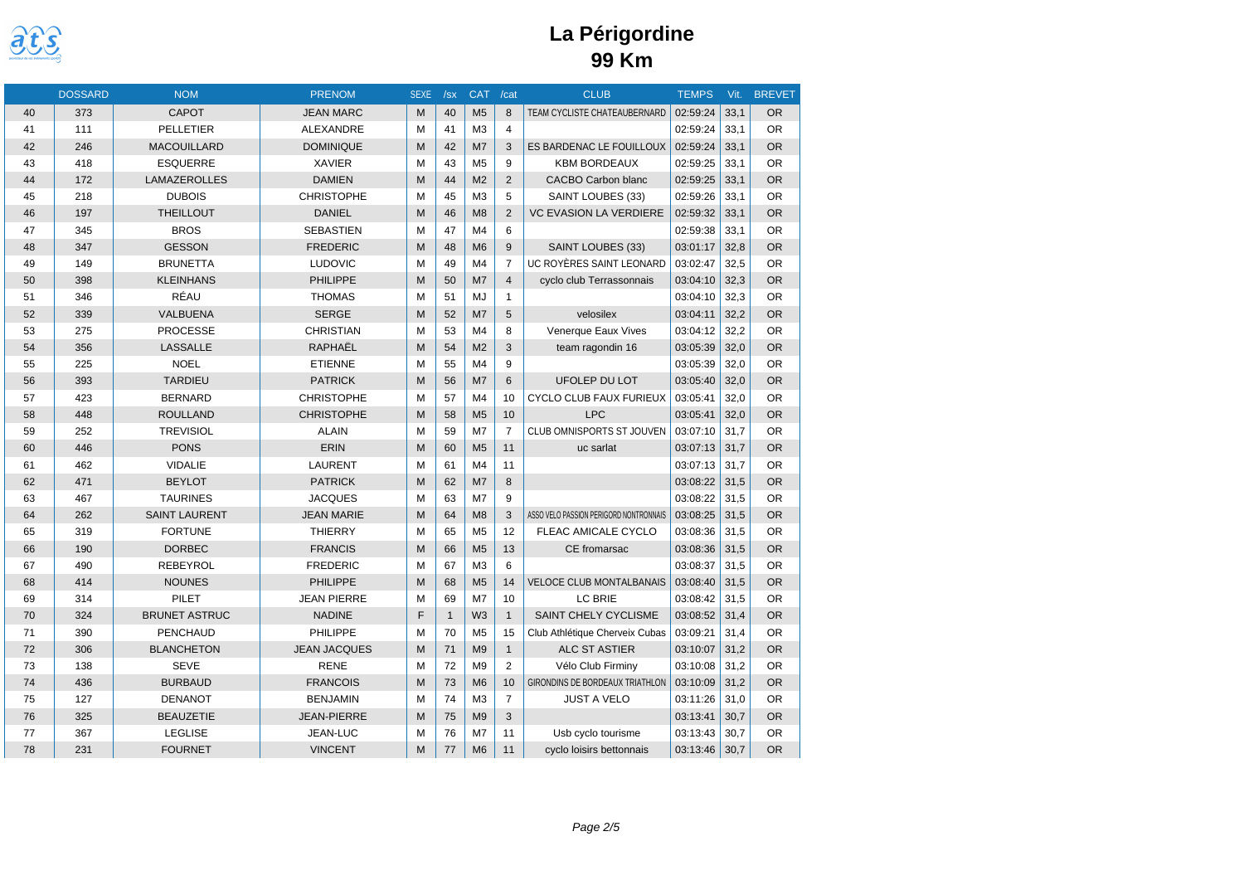

|    | <b>DOSSARD</b> | <b>NOM</b>           | <b>PRENOM</b>       | <b>SEXE</b> | /sx          | <b>CAT</b>     | /cat           | <b>CLUB</b>                            | <b>TEMPS</b> | Vit. | <b>BREVET</b> |
|----|----------------|----------------------|---------------------|-------------|--------------|----------------|----------------|----------------------------------------|--------------|------|---------------|
| 40 | 373            | <b>CAPOT</b>         | <b>JEAN MARC</b>    | M           | 40           | M <sub>5</sub> | 8              | TEAM CYCLISTE CHATEAUBERNARD           | 02:59:24     | 33.1 | <b>OR</b>     |
| 41 | 111            | <b>PELLETIER</b>     | <b>ALEXANDRE</b>    | M           | 41           | M <sub>3</sub> | $\overline{4}$ |                                        | 02:59:24     | 33,1 | <b>OR</b>     |
| 42 | 246            | <b>MACOUILLARD</b>   | <b>DOMINIQUE</b>    | M           | 42           | M7             | 3              | ES BARDENAC LE FOUILLOUX               | 02:59:24     | 33,1 | <b>OR</b>     |
| 43 | 418            | <b>ESQUERRE</b>      | <b>XAVIER</b>       | M           | 43           | M <sub>5</sub> | 9              | <b>KBM BORDEAUX</b>                    | 02:59:25     | 33.1 | <b>OR</b>     |
| 44 | 172            | LAMAZEROLLES         | <b>DAMIEN</b>       | M           | 44           | M <sub>2</sub> | 2              | <b>CACBO Carbon blanc</b>              | 02:59:25     | 33,1 | <b>OR</b>     |
| 45 | 218            | <b>DUBOIS</b>        | <b>CHRISTOPHE</b>   | M           | 45           | M <sub>3</sub> | 5              | SAINT LOUBES (33)                      | 02:59:26     | 33,1 | <b>OR</b>     |
| 46 | 197            | <b>THEILLOUT</b>     | <b>DANIEL</b>       | M           | 46           | M8             | 2              | <b>VC EVASION LA VERDIERE</b>          | 02:59:32     | 33,1 | <b>OR</b>     |
| 47 | 345            | <b>BROS</b>          | <b>SEBASTIEN</b>    | M           | 47           | M <sub>4</sub> | 6              |                                        | 02:59:38     | 33,1 | <b>OR</b>     |
| 48 | 347            | <b>GESSON</b>        | <b>FREDERIC</b>     | M           | 48           | M6             | 9              | SAINT LOUBES (33)                      | 03:01:17     | 32.8 | <b>OR</b>     |
| 49 | 149            | <b>BRUNETTA</b>      | <b>LUDOVIC</b>      | M           | 49           | M <sub>4</sub> | $\overline{7}$ | UC ROYÈRES SAINT LEONARD               | 03:02:47     | 32,5 | <b>OR</b>     |
| 50 | 398            | <b>KLEINHANS</b>     | <b>PHILIPPE</b>     | M           | 50           | M <sub>7</sub> | $\overline{4}$ | cyclo club Terrassonnais               | 03:04:10     | 32,3 | <b>OR</b>     |
| 51 | 346            | RÉAU                 | <b>THOMAS</b>       | M           | 51           | MJ             | $\mathbf{1}$   |                                        | 03:04:10     | 32,3 | <b>OR</b>     |
| 52 | 339            | <b>VALBUENA</b>      | <b>SERGE</b>        | M           | 52           | M <sub>7</sub> | 5              | velosilex                              | 03:04:11     | 32,2 | <b>OR</b>     |
| 53 | 275            | <b>PROCESSE</b>      | <b>CHRISTIAN</b>    | M           | 53           | M <sub>4</sub> | 8              | Venerque Eaux Vives                    | 03:04:12     | 32,2 | <b>OR</b>     |
| 54 | 356            | <b>LASSALLE</b>      | RAPHAËL             | M           | 54           | M <sub>2</sub> | 3              | team ragondin 16                       | 03:05:39     | 32,0 | <b>OR</b>     |
| 55 | 225            | <b>NOEL</b>          | <b>ETIENNE</b>      | M           | 55           | M <sub>4</sub> | 9              |                                        | 03:05:39     | 32,0 | <b>OR</b>     |
| 56 | 393            | <b>TARDIEU</b>       | <b>PATRICK</b>      | M           | 56           | M <sub>7</sub> | 6              | <b>UFOLEP DU LOT</b>                   | 03:05:40     | 32,0 | <b>OR</b>     |
| 57 | 423            | <b>BERNARD</b>       | <b>CHRISTOPHE</b>   | M           | 57           | M <sub>4</sub> | 10             | CYCLO CLUB FAUX FURIEUX                | 03:05:41     | 32,0 | <b>OR</b>     |
| 58 | 448            | <b>ROULLAND</b>      | <b>CHRISTOPHE</b>   | M           | 58           | M <sub>5</sub> | 10             | <b>LPC</b>                             | 03:05:41     | 32,0 | <b>OR</b>     |
| 59 | 252            | <b>TREVISIOL</b>     | <b>ALAIN</b>        | M           | 59           | M <sub>7</sub> | $\overline{7}$ | CLUB OMNISPORTS ST JOUVEN              | 03:07:10     | 31,7 | <b>OR</b>     |
| 60 | 446            | <b>PONS</b>          | ERIN                | M           | 60           | M <sub>5</sub> | 11             | uc sarlat                              | 03:07:13     | 31,7 | <b>OR</b>     |
| 61 | 462            | <b>VIDALIE</b>       | <b>LAURENT</b>      | M           | 61           | M <sub>4</sub> | 11             |                                        | 03:07:13     | 31.7 | <b>OR</b>     |
| 62 | 471            | <b>BEYLOT</b>        | <b>PATRICK</b>      | M           | 62           | M <sub>7</sub> | 8              |                                        | 03:08:22     | 31,5 | <b>OR</b>     |
| 63 | 467            | <b>TAURINES</b>      | <b>JACQUES</b>      | M           | 63           | M7             | 9              |                                        | 03:08:22     | 31.5 | <b>OR</b>     |
| 64 | 262            | <b>SAINT LAURENT</b> | <b>JEAN MARIE</b>   | M           | 64           | M8             | 3              | ASSO VELO PASSION PERIGORD NONTRONNAIS | 03:08:25     | 31.5 | OR            |
| 65 | 319            | <b>FORTUNE</b>       | <b>THIERRY</b>      | M           | 65           | M <sub>5</sub> | 12             | FLEAC AMICALE CYCLO                    | 03:08:36     | 31,5 | <b>OR</b>     |
| 66 | 190            | <b>DORBEC</b>        | <b>FRANCIS</b>      | M           | 66           | M <sub>5</sub> | 13             | CE fromarsac                           | 03:08:36     | 31,5 | <b>OR</b>     |
| 67 | 490            | <b>REBEYROL</b>      | <b>FREDERIC</b>     | M           | 67           | M <sub>3</sub> | 6              |                                        | 03:08:37     | 31.5 | <b>OR</b>     |
| 68 | 414            | <b>NOUNES</b>        | <b>PHILIPPE</b>     | M           | 68           | M <sub>5</sub> | 14             | VELOCE CLUB MONTALBANAIS               | 03:08:40     | 31.5 | OR            |
| 69 | 314            | PILET                | <b>JEAN PIERRE</b>  | M           | 69           | M <sub>7</sub> | 10             | LC BRIE                                | 03:08:42     | 31.5 | <b>OR</b>     |
| 70 | 324            | <b>BRUNET ASTRUC</b> | <b>NADINE</b>       | F           | $\mathbf{1}$ | W <sub>3</sub> | $\mathbf{1}$   | SAINT CHELY CYCLISME                   | 03:08:52     | 31.4 | <b>OR</b>     |
| 71 | 390            | PENCHAUD             | <b>PHILIPPE</b>     | M           | 70           | M <sub>5</sub> | 15             | Club Athlétique Cherveix Cubas         | 03:09:21     | 31.4 | <b>OR</b>     |
| 72 | 306            | <b>BLANCHETON</b>    | <b>JEAN JACQUES</b> | M           | 71           | M <sub>9</sub> | $\mathbf{1}$   | <b>ALC ST ASTIER</b>                   | 03:10:07     | 31,2 | <b>OR</b>     |
| 73 | 138            | <b>SEVE</b>          | <b>RENE</b>         | M           | 72           | M <sub>9</sub> | 2              | Vélo Club Firminy                      | 03:10:08     | 31,2 | <b>OR</b>     |
| 74 | 436            | <b>BURBAUD</b>       | <b>FRANCOIS</b>     | M           | 73           | M <sub>6</sub> | 10             | GIRONDINS DE BORDEAUX TRIATHLON        | 03:10:09     | 31.2 | OR            |
| 75 | 127            | <b>DENANOT</b>       | <b>BENJAMIN</b>     | M           | 74           | M <sub>3</sub> | $\overline{7}$ | <b>JUST A VELO</b>                     | 03:11:26     | 31.0 | <b>OR</b>     |
| 76 | 325            | <b>BEAUZETIE</b>     | <b>JEAN-PIERRE</b>  | M           | 75           | M <sub>9</sub> | 3              |                                        | 03:13:41     | 30.7 | <b>OR</b>     |
| 77 | 367            | <b>LEGLISE</b>       | JEAN-LUC            | M           | 76           | M <sub>7</sub> | 11             | Usb cyclo tourisme                     | 03:13:43     | 30,7 | <b>OR</b>     |
| 78 | 231            | <b>FOURNET</b>       | <b>VINCENT</b>      | M           | 77           | M <sub>6</sub> | 11             | cyclo loisirs bettonnais               | 03:13:46     | 30,7 | <b>OR</b>     |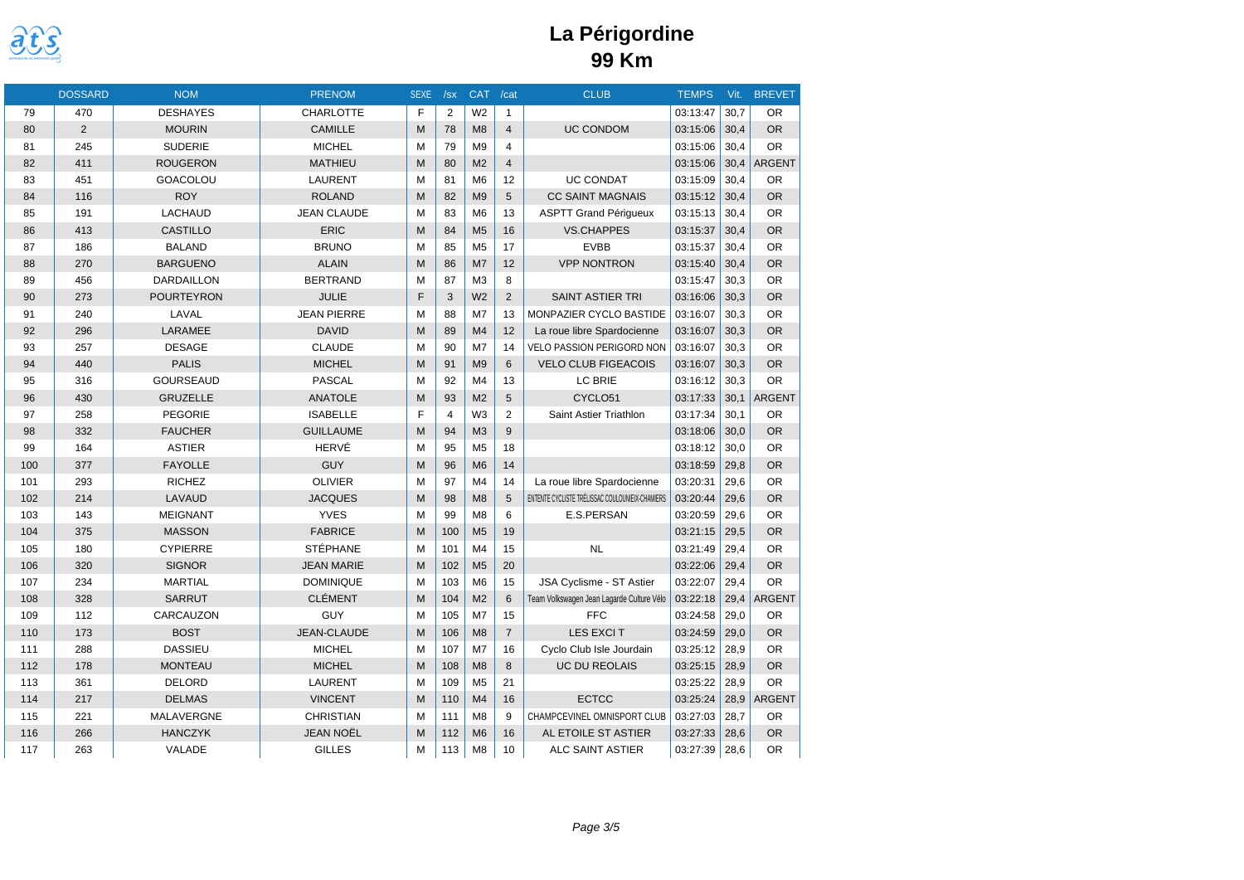

|     | <b>DOSSARD</b> | <b>NOM</b>        | <b>PRENOM</b>      | <b>SEXE</b> | /sx            | <b>CAT</b>     | /cat           | <b>CLUB</b>                                     | <b>TEMPS</b> | Vit. | <b>BREVET</b> |
|-----|----------------|-------------------|--------------------|-------------|----------------|----------------|----------------|-------------------------------------------------|--------------|------|---------------|
| 79  | 470            | <b>DESHAYES</b>   | <b>CHARLOTTE</b>   | F           | $\overline{2}$ | W <sub>2</sub> | $\mathbf{1}$   |                                                 | 03:13:47     | 30.7 | <b>OR</b>     |
| 80  | $\overline{2}$ | <b>MOURIN</b>     | <b>CAMILLE</b>     | M           | 78             | M8             | $\overline{4}$ | <b>UC CONDOM</b>                                | 03:15:06     | 30.4 | <b>OR</b>     |
| 81  | 245            | <b>SUDERIE</b>    | <b>MICHEL</b>      | M           | 79             | M <sub>9</sub> | $\overline{4}$ |                                                 | 03:15:06     | 30.4 | <b>OR</b>     |
| 82  | 411            | <b>ROUGERON</b>   | <b>MATHIEU</b>     | M           | 80             | M <sub>2</sub> | $\overline{4}$ |                                                 | 03:15:06     | 30,4 | <b>ARGENT</b> |
| 83  | 451            | <b>GOACOLOU</b>   | <b>LAURENT</b>     | M           | 81             | M <sub>6</sub> | 12             | <b>UC CONDAT</b>                                | 03:15:09     | 30.4 | <b>OR</b>     |
| 84  | 116            | <b>ROY</b>        | <b>ROLAND</b>      | M           | 82             | M <sub>9</sub> | 5              | <b>CC SAINT MAGNAIS</b>                         | 03:15:12     | 30,4 | <b>OR</b>     |
| 85  | 191            | <b>LACHAUD</b>    | <b>JEAN CLAUDE</b> | M           | 83             | M <sub>6</sub> | 13             | <b>ASPTT Grand Périgueux</b>                    | 03:15:13     | 30,4 | <b>OR</b>     |
| 86  | 413            | <b>CASTILLO</b>   | <b>ERIC</b>        | M           | 84             | M <sub>5</sub> | 16             | <b>VS.CHAPPES</b>                               | 03:15:37     | 30.4 | <b>OR</b>     |
| 87  | 186            | <b>BALAND</b>     | <b>BRUNO</b>       | M           | 85             | M <sub>5</sub> | 17             | <b>EVBB</b>                                     | 03:15:37     | 30,4 | OR            |
| 88  | 270            | <b>BARGUENO</b>   | <b>ALAIN</b>       | M           | 86             | M7             | 12             | <b>VPP NONTRON</b>                              | 03:15:40     | 30,4 | <b>OR</b>     |
| 89  | 456            | <b>DARDAILLON</b> | <b>BERTRAND</b>    | M           | 87             | M <sub>3</sub> | 8              |                                                 | 03:15:47     | 30.3 | <b>OR</b>     |
| 90  | 273            | <b>POURTEYRON</b> | JULIE              | F           | 3              | W <sub>2</sub> | 2              | <b>SAINT ASTIER TRI</b>                         | 03:16:06     | 30,3 | <b>OR</b>     |
| 91  | 240            | LAVAL             | <b>JEAN PIERRE</b> | M           | 88             | M <sub>7</sub> | 13             | MONPAZIER CYCLO BASTIDE                         | 03:16:07     | 30.3 | <b>OR</b>     |
| 92  | 296            | LARAMEE           | <b>DAVID</b>       | M           | 89             | M <sub>4</sub> | 12             | La roue libre Spardocienne                      | 03:16:07     | 30,3 | <b>OR</b>     |
| 93  | 257            | <b>DESAGE</b>     | <b>CLAUDE</b>      | M           | 90             | M <sub>7</sub> | 14             | VELO PASSION PERIGORD NON                       | 03:16:07     | 30,3 | <b>OR</b>     |
| 94  | 440            | <b>PALIS</b>      | <b>MICHEL</b>      | M           | 91             | M <sub>9</sub> | 6              | <b>VELO CLUB FIGEACOIS</b>                      | 03:16:07     | 30.3 | <b>OR</b>     |
| 95  | 316            | <b>GOURSEAUD</b>  | <b>PASCAL</b>      | M           | 92             | M <sub>4</sub> | 13             | LC BRIE                                         | 03:16:12     | 30.3 | <b>OR</b>     |
| 96  | 430            | <b>GRUZELLE</b>   | <b>ANATOLE</b>     | M           | 93             | M <sub>2</sub> | 5              | CYCLO51                                         | 03:17:33     | 30,1 | <b>ARGENT</b> |
| 97  | 258            | <b>PEGORIE</b>    | <b>ISABELLE</b>    | F           | $\overline{4}$ | W <sub>3</sub> | 2              | Saint Astier Triathlon                          | 03:17:34     | 30.1 | <b>OR</b>     |
| 98  | 332            | <b>FAUCHER</b>    | <b>GUILLAUME</b>   | M           | 94             | M3             | 9              |                                                 | 03:18:06     | 30,0 | <b>OR</b>     |
| 99  | 164            | <b>ASTIER</b>     | HERVÉ              | M           | 95             | M <sub>5</sub> | 18             |                                                 | 03:18:12     | 30,0 | <b>OR</b>     |
| 100 | 377            | <b>FAYOLLE</b>    | <b>GUY</b>         | M           | 96             | M <sub>6</sub> | 14             |                                                 | 03:18:59     | 29.8 | <b>OR</b>     |
| 101 | 293            | <b>RICHEZ</b>     | <b>OLIVIER</b>     | M           | 97             | M <sub>4</sub> | 14             | La roue libre Spardocienne                      | 03:20:31     | 29.6 | <b>OR</b>     |
| 102 | 214            | LAVAUD            | <b>JACQUES</b>     | M           | 98             | M8             | 5              | ENTENTE CYCLISTE TRÉLISSAC COULOUNIEIX-CHAMIERS | 03:20:44     | 29,6 | <b>OR</b>     |
| 103 | 143            | <b>MEIGNANT</b>   | <b>YVES</b>        | M           | 99             | M <sub>8</sub> | 6              | E.S.PERSAN                                      | 03:20:59     | 29.6 | <b>OR</b>     |
| 104 | 375            | <b>MASSON</b>     | <b>FABRICE</b>     | M           | 100            | M <sub>5</sub> | 19             |                                                 | 03:21:15     | 29,5 | <b>OR</b>     |
| 105 | 180            | <b>CYPIERRE</b>   | <b>STÉPHANE</b>    | M           | 101            | M <sub>4</sub> | 15             | <b>NL</b>                                       | 03:21:49     | 29.4 | <b>OR</b>     |
| 106 | 320            | <b>SIGNOR</b>     | <b>JEAN MARIE</b>  | M           | 102            | M <sub>5</sub> | 20             |                                                 | 03:22:06     | 29.4 | <b>OR</b>     |
| 107 | 234            | <b>MARTIAL</b>    | <b>DOMINIQUE</b>   | M           | 103            | M <sub>6</sub> | 15             | JSA Cyclisme - ST Astier                        | 03:22:07     | 29,4 | <b>OR</b>     |
| 108 | 328            | <b>SARRUT</b>     | <b>CLÉMENT</b>     | M           | 104            | M <sub>2</sub> | 6              | Team Volkswagen Jean Lagarde Culture Vélo       | 03:22:18     | 29.4 | <b>ARGENT</b> |
| 109 | 112            | CARCAUZON         | GUY                | M           | 105            | M <sub>7</sub> | 15             | <b>FFC</b>                                      | 03:24:58     | 29.0 | <b>OR</b>     |
| 110 | 173            | <b>BOST</b>       | JEAN-CLAUDE        | M           | 106            | M8             | $\overline{7}$ | LES EXCIT                                       | 03:24:59     | 29,0 | <b>OR</b>     |
| 111 | 288            | <b>DASSIEU</b>    | <b>MICHEL</b>      | M           | 107            | M7             | 16             | Cyclo Club Isle Jourdain                        | 03:25:12     | 28.9 | <b>OR</b>     |
| 112 | 178            | <b>MONTEAU</b>    | <b>MICHEL</b>      | M           | 108            | M8             | 8              | <b>UC DU REOLAIS</b>                            | 03:25:15     | 28,9 | <b>OR</b>     |
| 113 | 361            | DELORD            | <b>LAURENT</b>     | M           | 109            | M <sub>5</sub> | 21             |                                                 | 03:25:22     | 28,9 | <b>OR</b>     |
| 114 | 217            | <b>DELMAS</b>     | <b>VINCENT</b>     | M           | 110            | M <sub>4</sub> | 16             | <b>ECTCC</b>                                    | 03:25:24     | 28.9 | <b>ARGENT</b> |
| 115 | 221            | MALAVERGNE        | <b>CHRISTIAN</b>   | M           | 111            | M <sub>8</sub> | 9              | CHAMPCEVINEL OMNISPORT CLUB                     | 03:27:03     | 28,7 | <b>OR</b>     |
| 116 | 266            | <b>HANCZYK</b>    | <b>JEAN NOËL</b>   | M           | 112            | M <sub>6</sub> | 16             | AL ETOILE ST ASTIER                             | 03:27:33     | 28,6 | <b>OR</b>     |
| 117 | 263            | VALADE            | <b>GILLES</b>      | M           | 113            | M <sub>8</sub> | 10             | ALC SAINT ASTIER                                | 03:27:39     | 28,6 | <b>OR</b>     |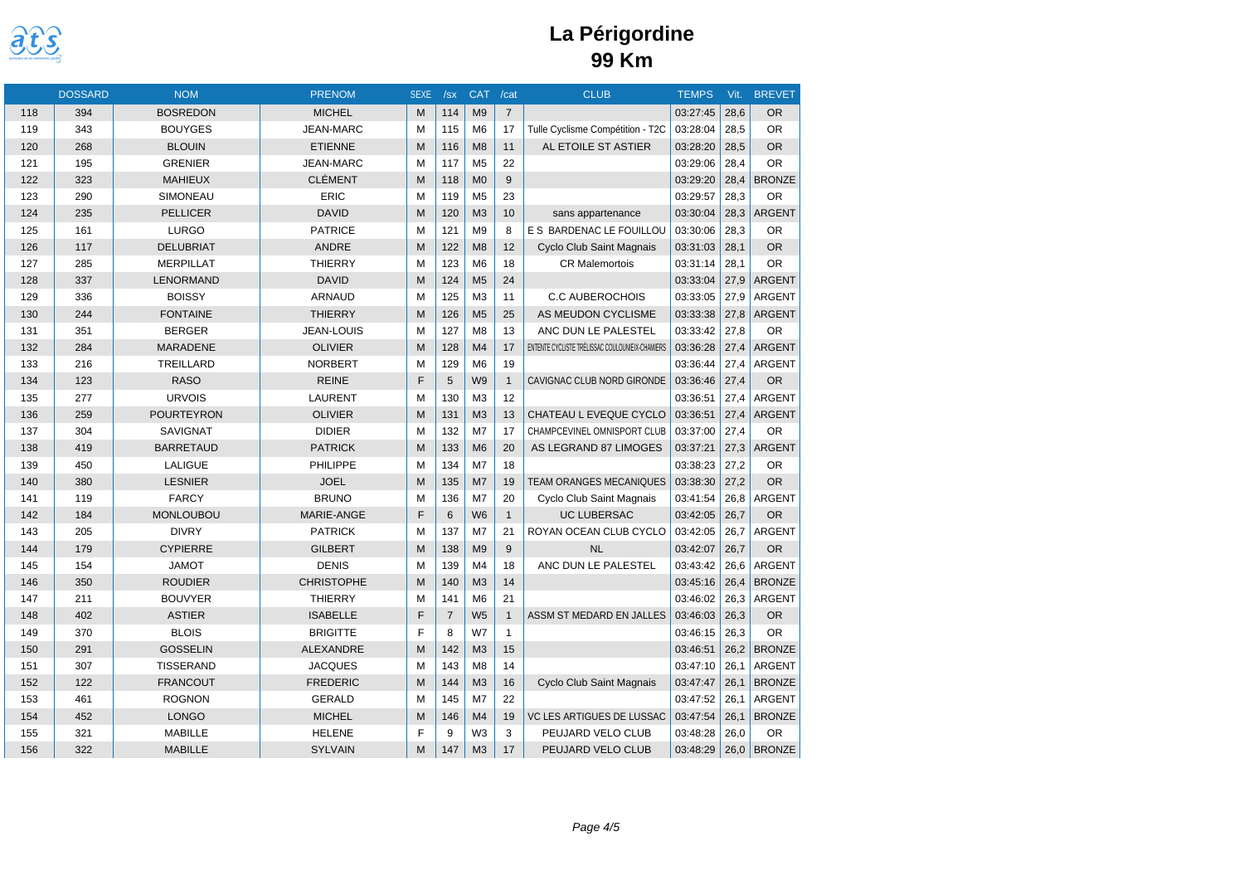

|     | <b>DOSSARD</b> | <b>NOM</b>        | <b>PRENOM</b>     | <b>SEXE</b>  | /sx            | <b>CAT</b>     | /cat           | <b>CLUB</b>                                     | <b>TEMPS</b> | Vit. | <b>BREVET</b> |
|-----|----------------|-------------------|-------------------|--------------|----------------|----------------|----------------|-------------------------------------------------|--------------|------|---------------|
| 118 | 394            | <b>BOSREDON</b>   | <b>MICHEL</b>     | M            | 114            | M <sub>9</sub> | $\overline{7}$ |                                                 | 03:27:45     | 28,6 | <b>OR</b>     |
| 119 | 343            | <b>BOUYGES</b>    | <b>JEAN-MARC</b>  | M            | 115            | M <sub>6</sub> | 17             | Tulle Cyclisme Compétition - T2C                | 03:28:04     | 28,5 | <b>OR</b>     |
| 120 | 268            | <b>BLOUIN</b>     | <b>ETIENNE</b>    | M            | 116            | M <sub>8</sub> | 11             | AL ETOILE ST ASTIER                             | 03:28:20     | 28,5 | <b>OR</b>     |
| 121 | 195            | <b>GRENIER</b>    | <b>JEAN-MARC</b>  | M            | 117            | M <sub>5</sub> | 22             |                                                 | 03:29:06     | 28.4 | <b>OR</b>     |
| 122 | 323            | <b>MAHIEUX</b>    | <b>CLÉMENT</b>    | M            | 118            | M <sub>0</sub> | 9              |                                                 | 03:29:20     | 28,4 | <b>BRONZE</b> |
| 123 | 290            | SIMONEAU          | ERIC              | M            | 119            | M <sub>5</sub> | 23             |                                                 | 03:29:57     | 28,3 | <b>OR</b>     |
| 124 | 235            | <b>PELLICER</b>   | <b>DAVID</b>      | M            | 120            | M <sub>3</sub> | 10             | sans appartenance                               | 03:30:04     | 28,3 | <b>ARGENT</b> |
| 125 | 161            | <b>LURGO</b>      | <b>PATRICE</b>    | M            | 121            | M <sub>9</sub> | 8              | E S BARDENAC LE FOUILLOU                        | 03:30:06     | 28,3 | <b>OR</b>     |
| 126 | 117            | <b>DELUBRIAT</b>  | <b>ANDRE</b>      | M            | 122            | M8             | 12             | Cyclo Club Saint Magnais                        | 03:31:03     | 28,1 | <b>OR</b>     |
| 127 | 285            | <b>MERPILLAT</b>  | <b>THIERRY</b>    | M            | 123            | M <sub>6</sub> | 18             | <b>CR Malemortois</b>                           | 03:31:14     | 28,1 | <b>OR</b>     |
| 128 | 337            | <b>LENORMAND</b>  | <b>DAVID</b>      | M            | 124            | M <sub>5</sub> | 24             |                                                 | 03:33:04     | 27,9 | <b>ARGENT</b> |
| 129 | 336            | <b>BOISSY</b>     | ARNAUD            | M            | 125            | M <sub>3</sub> | 11             | <b>C.C AUBEROCHOIS</b>                          | 03:33:05     | 27,9 | ARGENT        |
| 130 | 244            | <b>FONTAINE</b>   | <b>THIERRY</b>    | M            | 126            | M <sub>5</sub> | 25             | AS MEUDON CYCLISME                              | 03:33:38     | 27,8 | <b>ARGENT</b> |
| 131 | 351            | <b>BERGER</b>     | <b>JEAN-LOUIS</b> | M            | 127            | M <sub>8</sub> | 13             | ANC DUN LE PALESTEL                             | 03:33:42     | 27,8 | <b>OR</b>     |
| 132 | 284            | <b>MARADENE</b>   | <b>OLIVIER</b>    | M            | 128            | M4             | 17             | ENTENTE CYCLISTE TRÉLISSAC COULOUNIEIX-CHAMIERS | 03:36:28     | 27,4 | <b>ARGENT</b> |
| 133 | 216            | TREILLARD         | <b>NORBERT</b>    | M            | 129            | M <sub>6</sub> | 19             |                                                 | 03:36:44     | 27,4 | ARGENT        |
| 134 | 123            | <b>RASO</b>       | <b>REINE</b>      | $\mathsf{F}$ | 5              | W <sub>9</sub> | $\mathbf{1}$   | CAVIGNAC CLUB NORD GIRONDE                      | 03:36:46     | 27,4 | <b>OR</b>     |
| 135 | 277            | <b>URVOIS</b>     | <b>LAURENT</b>    | M            | 130            | M <sub>3</sub> | 12             |                                                 | 03:36:51     | 27,4 | ARGENT        |
| 136 | 259            | <b>POURTEYRON</b> | <b>OLIVIER</b>    | M            | 131            | M <sub>3</sub> | 13             | CHATEAU L EVEQUE CYCLO                          | 03:36:51     | 27,4 | <b>ARGENT</b> |
| 137 | 304            | <b>SAVIGNAT</b>   | <b>DIDIER</b>     | M            | 132            | M7             | 17             | CHAMPCEVINEL OMNISPORT CLUB                     | 03:37:00     | 27,4 | <b>OR</b>     |
| 138 | 419            | <b>BARRETAUD</b>  | <b>PATRICK</b>    | M            | 133            | M <sub>6</sub> | 20             | AS LEGRAND 87 LIMOGES                           | 03:37:21     | 27,3 | <b>ARGENT</b> |
| 139 | 450            | LALIGUE           | PHILIPPE          | M            | 134            | M <sub>7</sub> | 18             |                                                 | 03:38:23     | 27,2 | <b>OR</b>     |
| 140 | 380            | <b>LESNIER</b>    | <b>JOEL</b>       | M            | 135            | M <sub>7</sub> | 19             | <b>TEAM ORANGES MECANIQUES</b>                  | 03:38:30     | 27,2 | <b>OR</b>     |
| 141 | 119            | <b>FARCY</b>      | <b>BRUNO</b>      | M            | 136            | M7             | 20             | Cyclo Club Saint Magnais                        | 03:41:54     | 26,8 | <b>ARGENT</b> |
| 142 | 184            | <b>MONLOUBOU</b>  | MARIE-ANGE        | F            | 6              | W <sub>6</sub> | $\mathbf{1}$   | <b>UC LUBERSAC</b>                              | 03:42:05     | 26,7 | <b>OR</b>     |
| 143 | 205            | <b>DIVRY</b>      | <b>PATRICK</b>    | M            | 137            | M <sub>7</sub> | 21             | ROYAN OCEAN CLUB CYCLO                          | 03:42:05     | 26,7 | <b>ARGENT</b> |
| 144 | 179            | <b>CYPIERRE</b>   | <b>GILBERT</b>    | M            | 138            | M <sub>9</sub> | 9              | <b>NL</b>                                       | 03:42:07     | 26,7 | <b>OR</b>     |
| 145 | 154            | <b>JAMOT</b>      | <b>DENIS</b>      | M            | 139            | M <sub>4</sub> | 18             | ANC DUN LE PALESTEL                             | 03:43:42     | 26,6 | ARGENT        |
| 146 | 350            | <b>ROUDIER</b>    | <b>CHRISTOPHE</b> | M            | 140            | M <sub>3</sub> | 14             |                                                 | 03:45:16     | 26,4 | <b>BRONZE</b> |
| 147 | 211            | <b>BOUVYER</b>    | <b>THIERRY</b>    | M            | 141            | M <sub>6</sub> | 21             |                                                 | 03:46:02     | 26,3 | ARGENT        |
| 148 | 402            | <b>ASTIER</b>     | <b>ISABELLE</b>   | F            | $\overline{7}$ | W <sub>5</sub> | $\mathbf{1}$   | ASSM ST MEDARD EN JALLES                        | 03:46:03     | 26,3 | <b>OR</b>     |
| 149 | 370            | <b>BLOIS</b>      | <b>BRIGITTE</b>   | F            | 8              | W7             | $\mathbf{1}$   |                                                 | 03:46:15     | 26,3 | <b>OR</b>     |
| 150 | 291            | <b>GOSSELIN</b>   | <b>ALEXANDRE</b>  | M            | 142            | M <sub>3</sub> | 15             |                                                 | 03:46:51     | 26,2 | <b>BRONZE</b> |
| 151 | 307            | <b>TISSERAND</b>  | <b>JACQUES</b>    | M            | 143            | M <sub>8</sub> | 14             |                                                 | 03:47:10     | 26,1 | <b>ARGENT</b> |
| 152 | 122            | <b>FRANCOUT</b>   | <b>FREDERIC</b>   | M            | 144            | M <sub>3</sub> | 16             | Cyclo Club Saint Magnais                        | 03:47:47     | 26,1 | <b>BRONZE</b> |
| 153 | 461            | <b>ROGNON</b>     | <b>GERALD</b>     | M            | 145            | M7             | 22             |                                                 | 03:47:52     | 26,1 | ARGENT        |
| 154 | 452            | <b>LONGO</b>      | <b>MICHEL</b>     | M            | 146            | M <sub>4</sub> | 19             | <b>VC LES ARTIGUES DE LUSSAC</b>                | 03:47:54     | 26,1 | <b>BRONZE</b> |
| 155 | 321            | <b>MABILLE</b>    | <b>HELENE</b>     | F            | 9              | W <sub>3</sub> | 3              | PEUJARD VELO CLUB                               | 03:48:28     | 26,0 | <b>OR</b>     |
| 156 | 322            | <b>MABILLE</b>    | <b>SYLVAIN</b>    | M            | 147            | M3             | 17             | PEUJARD VELO CLUB                               | 03:48:29     | 26,0 | <b>BRONZE</b> |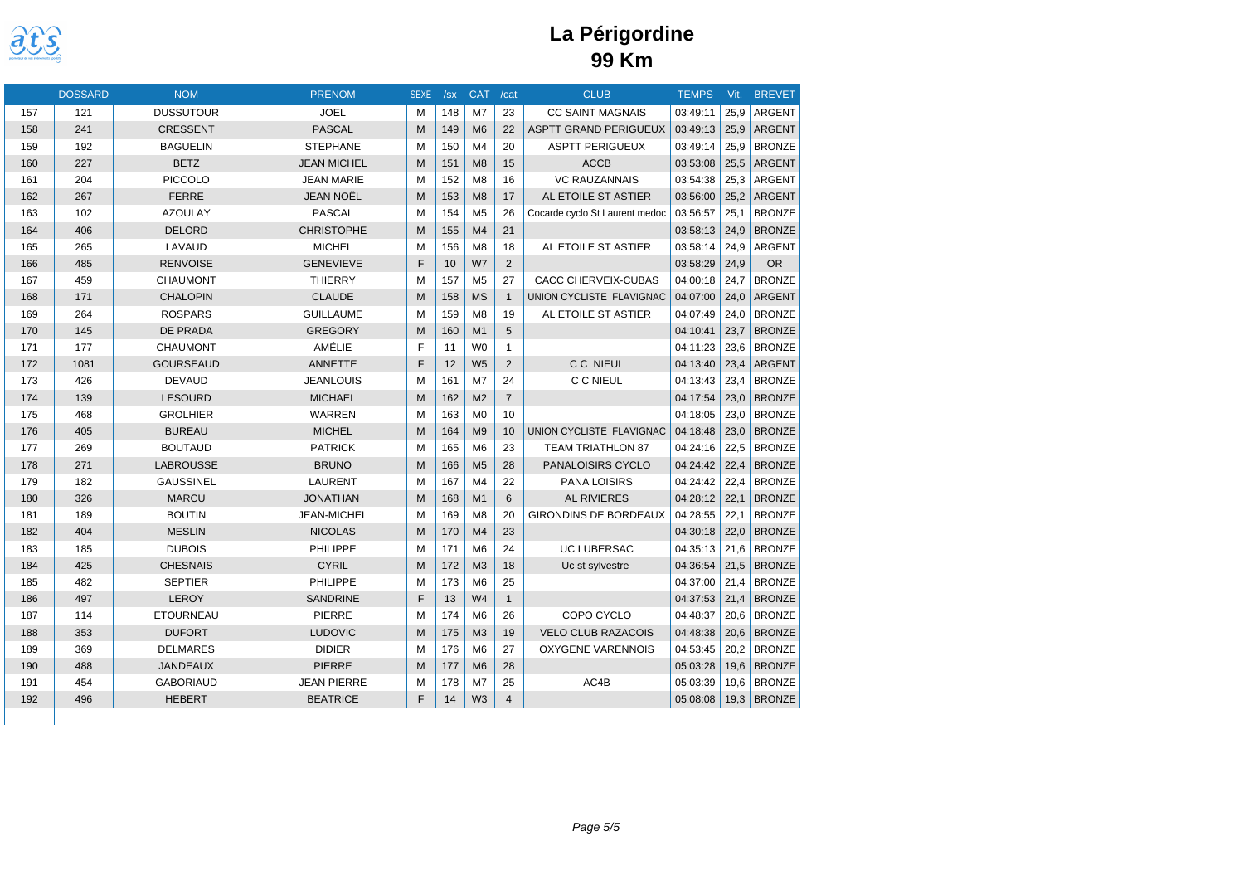

|     | <b>DOSSARD</b> | <b>NOM</b>       | <b>PRENOM</b>      | <b>SEXE</b> | /sx | <b>CAT</b>     | /cat           | <b>CLUB</b>                    | <b>TEMPS</b> | Vit. | <b>BREVET</b> |
|-----|----------------|------------------|--------------------|-------------|-----|----------------|----------------|--------------------------------|--------------|------|---------------|
| 157 | 121            | <b>DUSSUTOUR</b> | <b>JOEL</b>        | M           | 148 | M7             | 23             | <b>CC SAINT MAGNAIS</b>        | 03:49:11     | 25,9 | <b>ARGENT</b> |
| 158 | 241            | <b>CRESSENT</b>  | <b>PASCAL</b>      | M           | 149 | M <sub>6</sub> | 22             | <b>ASPTT GRAND PERIGUEUX</b>   | 03:49:13     | 25,9 | <b>ARGENT</b> |
| 159 | 192            | <b>BAGUELIN</b>  | <b>STEPHANE</b>    | M           | 150 | M <sub>4</sub> | 20             | <b>ASPTT PERIGUEUX</b>         | 03:49:14     | 25,9 | <b>BRONZE</b> |
| 160 | 227            | <b>BETZ</b>      | <b>JEAN MICHEL</b> | M           | 151 | M8             | 15             | <b>ACCB</b>                    | 03:53:08     | 25,5 | <b>ARGENT</b> |
| 161 | 204            | <b>PICCOLO</b>   | <b>JEAN MARIE</b>  | M           | 152 | M <sub>8</sub> | 16             | <b>VC RAUZANNAIS</b>           | 03:54:38     | 25.3 | <b>ARGENT</b> |
| 162 | 267            | <b>FERRE</b>     | <b>JEAN NOËL</b>   | M           | 153 | M8             | 17             | AL ETOILE ST ASTIER            | 03:56:00     | 25,2 | <b>ARGENT</b> |
| 163 | 102            | <b>AZOULAY</b>   | <b>PASCAL</b>      | M           | 154 | M <sub>5</sub> | 26             | Cocarde cyclo St Laurent medoc | 03:56:57     | 25.1 | <b>BRONZE</b> |
| 164 | 406            | <b>DELORD</b>    | <b>CHRISTOPHE</b>  | M           | 155 | M <sub>4</sub> | 21             |                                | 03:58:13     | 24.9 | <b>BRONZE</b> |
| 165 | 265            | LAVAUD           | <b>MICHEL</b>      | M           | 156 | M <sub>8</sub> | 18             | AL ETOILE ST ASTIER            | 03:58:14     | 24.9 | <b>ARGENT</b> |
| 166 | 485            | <b>RENVOISE</b>  | <b>GENEVIEVE</b>   | F           | 10  | W7             | 2              |                                | 03:58:29     | 24.9 | <b>OR</b>     |
| 167 | 459            | <b>CHAUMONT</b>  | <b>THIERRY</b>     | M           | 157 | M <sub>5</sub> | 27             | CACC CHERVEIX-CUBAS            | 04:00:18     | 24,7 | <b>BRONZE</b> |
| 168 | 171            | <b>CHALOPIN</b>  | <b>CLAUDE</b>      | M           | 158 | <b>MS</b>      | $\mathbf{1}$   | UNION CYCLISTE FLAVIGNAC       | 04:07:00     | 24,0 | ARGENT        |
| 169 | 264            | <b>ROSPARS</b>   | <b>GUILLAUME</b>   | M           | 159 | M <sub>8</sub> | 19             | AL ETOILE ST ASTIER            | 04:07:49     | 24,0 | <b>BRONZE</b> |
| 170 | 145            | <b>DE PRADA</b>  | <b>GREGORY</b>     | M           | 160 | M1             | 5              |                                | 04:10:41     | 23,7 | <b>BRONZE</b> |
| 171 | 177            | <b>CHAUMONT</b>  | AMÉLIE             | E           | 11  | W <sub>0</sub> | $\mathbf{1}$   |                                | 04:11:23     | 23,6 | <b>BRONZE</b> |
| 172 | 1081           | <b>GOURSEAUD</b> | <b>ANNETTE</b>     | E           | 12  | W <sub>5</sub> | 2              | C C NIEUL                      | 04:13:40     | 23,4 | <b>ARGENT</b> |
| 173 | 426            | <b>DEVAUD</b>    | <b>JEANLOUIS</b>   | M           | 161 | M7             | 24             | C C NIEUL                      | 04:13:43     | 23,4 | <b>BRONZE</b> |
| 174 | 139            | <b>LESOURD</b>   | <b>MICHAEL</b>     | M           | 162 | M <sub>2</sub> | $\overline{7}$ |                                | 04:17:54     | 23,0 | <b>BRONZE</b> |
| 175 | 468            | <b>GROLHIER</b>  | <b>WARREN</b>      | M           | 163 | M <sub>0</sub> | 10             |                                | 04:18:05     | 23,0 | <b>BRONZE</b> |
| 176 | 405            | <b>BUREAU</b>    | <b>MICHEL</b>      | M           | 164 | M <sub>9</sub> | 10             | UNION CYCLISTE FLAVIGNAC       | 04:18:48     | 23,0 | <b>BRONZE</b> |
| 177 | 269            | <b>BOUTAUD</b>   | <b>PATRICK</b>     | M           | 165 | M <sub>6</sub> | 23             | <b>TEAM TRIATHLON 87</b>       | 04:24:16     | 22,5 | <b>BRONZE</b> |
| 178 | 271            | <b>LABROUSSE</b> | <b>BRUNO</b>       | M           | 166 | M <sub>5</sub> | 28             | PANALOISIRS CYCLO              | 04:24:42     | 22,4 | <b>BRONZE</b> |
| 179 | 182            | <b>GAUSSINEL</b> | LAURENT            | M           | 167 | M <sub>4</sub> | 22             | PANA LOISIRS                   | 04:24:42     | 22,4 | <b>BRONZE</b> |
| 180 | 326            | <b>MARCU</b>     | <b>JONATHAN</b>    | M           | 168 | M1             | 6              | <b>AL RIVIERES</b>             | 04:28:12     | 22,1 | <b>BRONZE</b> |
| 181 | 189            | <b>BOUTIN</b>    | <b>JEAN-MICHEL</b> | M           | 169 | M <sub>8</sub> | 20             | <b>GIRONDINS DE BORDEAUX</b>   | 04:28:55     | 22,1 | <b>BRONZE</b> |
| 182 | 404            | <b>MESLIN</b>    | <b>NICOLAS</b>     | M           | 170 | M <sub>4</sub> | 23             |                                | 04:30:18     | 22,0 | <b>BRONZE</b> |
| 183 | 185            | <b>DUBOIS</b>    | <b>PHILIPPE</b>    | M           | 171 | M <sub>6</sub> | 24             | <b>UC LUBERSAC</b>             | 04:35:13     | 21,6 | <b>BRONZE</b> |
| 184 | 425            | <b>CHESNAIS</b>  | <b>CYRIL</b>       | M           | 172 | M <sub>3</sub> | 18             | Uc st sylvestre                | 04:36:54     | 21,5 | <b>BRONZE</b> |
| 185 | 482            | <b>SEPTIER</b>   | <b>PHILIPPE</b>    | M           | 173 | M <sub>6</sub> | 25             |                                | 04:37:00     | 21.4 | <b>BRONZE</b> |
| 186 | 497            | <b>LEROY</b>     | <b>SANDRINE</b>    | F           | 13  | W <sub>4</sub> | $\mathbf{1}$   |                                | 04:37:53     | 21,4 | <b>BRONZE</b> |
| 187 | 114            | <b>ETOURNEAU</b> | <b>PIERRE</b>      | M           | 174 | M <sub>6</sub> | 26             | COPO CYCLO                     | 04:48:37     | 20,6 | <b>BRONZE</b> |
| 188 | 353            | <b>DUFORT</b>    | <b>LUDOVIC</b>     | M           | 175 | M3             | 19             | <b>VELO CLUB RAZACOIS</b>      | 04:48:38     | 20,6 | <b>BRONZE</b> |
| 189 | 369            | <b>DELMARES</b>  | <b>DIDIER</b>      | M           | 176 | M <sub>6</sub> | 27             | <b>OXYGENE VARENNOIS</b>       | 04:53:45     | 20,2 | <b>BRONZE</b> |
| 190 | 488            | <b>JANDEAUX</b>  | <b>PIERRE</b>      | M           | 177 | M <sub>6</sub> | 28             |                                | 05:03:28     | 19,6 | <b>BRONZE</b> |
| 191 | 454            | <b>GABORIAUD</b> | <b>JEAN PIERRE</b> | M           | 178 | M7             | 25             | AC4B                           | 05:03:39     | 19,6 | <b>BRONZE</b> |
| 192 | 496            | <b>HEBERT</b>    | <b>BEATRICE</b>    | F           | 14  | W <sub>3</sub> | $\overline{4}$ |                                | 05:08:08     | 19,3 | <b>BRONZE</b> |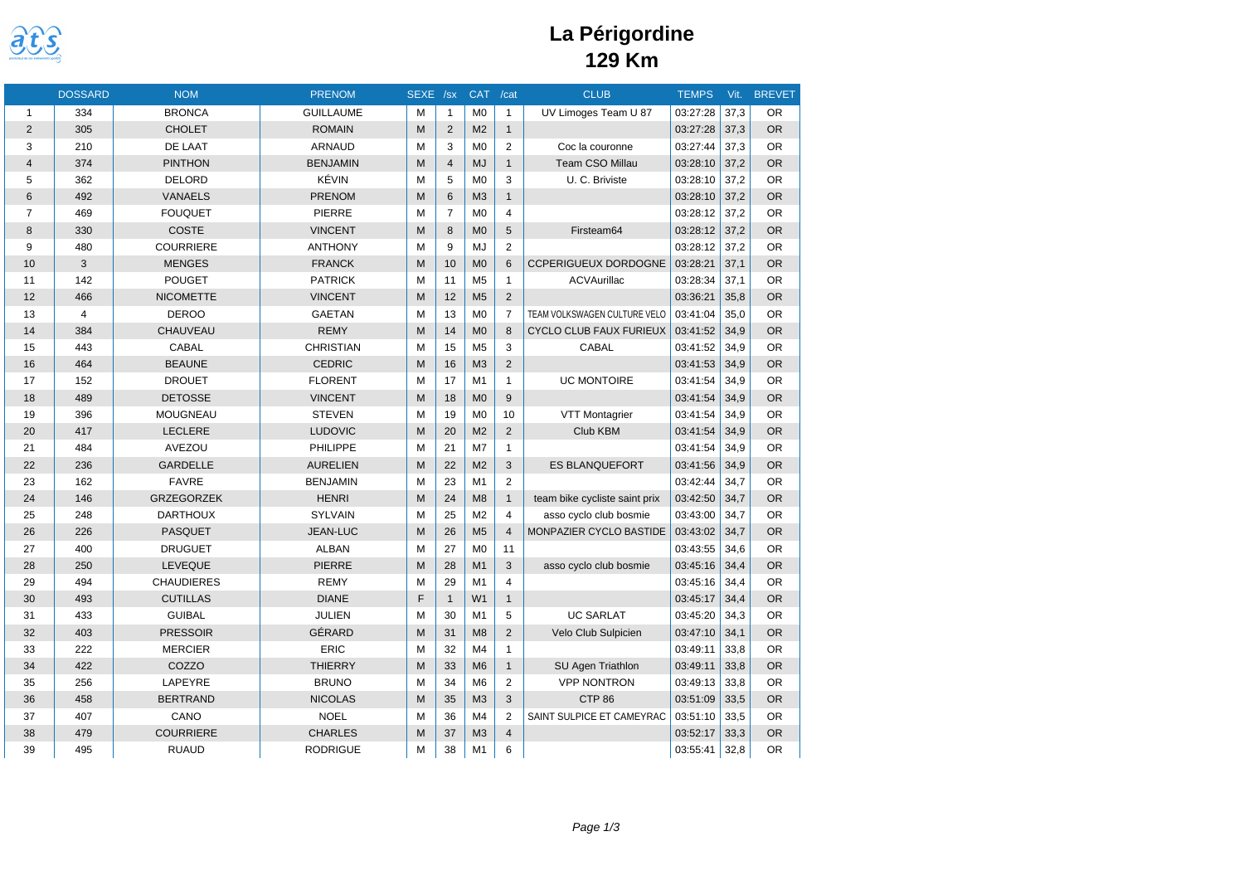

|    | <b>DOSSARD</b> | <b>NOM</b>        | <b>PRENOM</b>    | SEXE /sx |                | <b>CAT</b>     | /cat                    | <b>CLUB</b>                    | <b>TEMPS</b> | Vit. | <b>BREVET</b> |
|----|----------------|-------------------|------------------|----------|----------------|----------------|-------------------------|--------------------------------|--------------|------|---------------|
| 1  | 334            | <b>BRONCA</b>     | <b>GUILLAUME</b> | M        | $\mathbf{1}$   | M <sub>0</sub> | $\mathbf{1}$            | UV Limoges Team U 87           | 03:27:28     | 37,3 | <b>OR</b>     |
| 2  | 305            | <b>CHOLET</b>     | <b>ROMAIN</b>    | M        | 2              | M <sub>2</sub> | $\mathbf{1}$            |                                | 03:27:28     | 37.3 | <b>OR</b>     |
| 3  | 210            | DE LAAT           | <b>ARNAUD</b>    | M        | 3              | M <sub>0</sub> | $\overline{2}$          | Coc la couronne                | 03:27:44     | 37,3 | <b>OR</b>     |
| 4  | 374            | <b>PINTHON</b>    | <b>BENJAMIN</b>  | M        | $\overline{4}$ | <b>MJ</b>      | $\mathbf{1}$            | Team CSO Millau                | 03:28:10     | 37,2 | <b>OR</b>     |
| 5  | 362            | <b>DELORD</b>     | KÉVIN            | M        | 5              | M <sub>0</sub> | 3                       | U. C. Briviste                 | 03:28:10     | 37.2 | <b>OR</b>     |
| 6  | 492            | <b>VANAELS</b>    | <b>PRENOM</b>    | M        | 6              | M <sub>3</sub> | $\mathbf{1}$            |                                | 03:28:10     | 37,2 | <b>OR</b>     |
| 7  | 469            | <b>FOUQUET</b>    | PIERRE           | M        | $\overline{7}$ | M <sub>0</sub> | $\overline{4}$          |                                | 03:28:12     | 37.2 | <b>OR</b>     |
| 8  | 330            | <b>COSTE</b>      | <b>VINCENT</b>   | M        | 8              | M <sub>0</sub> | 5                       | Firsteam64                     | 03:28:12     | 37,2 | <b>OR</b>     |
| 9  | 480            | <b>COURRIERE</b>  | <b>ANTHONY</b>   | M        | 9              | MJ             | $\overline{2}$          |                                | 03:28:12     | 37,2 | <b>OR</b>     |
| 10 | 3              | <b>MENGES</b>     | <b>FRANCK</b>    | M        | 10             | M <sub>0</sub> | 6                       | <b>CCPERIGUEUX DORDOGNE</b>    | 03:28:21     | 37.1 | <b>OR</b>     |
| 11 | 142            | <b>POUGET</b>     | <b>PATRICK</b>   | M        | 11             | M <sub>5</sub> | $\mathbf{1}$            | ACVAurillac                    | 03:28:34     | 37.1 | <b>OR</b>     |
| 12 | 466            | <b>NICOMETTE</b>  | <b>VINCENT</b>   | M        | 12             | M <sub>5</sub> | $\overline{2}$          |                                | 03:36:21     | 35,8 | <b>OR</b>     |
| 13 | $\overline{4}$ | <b>DEROO</b>      | <b>GAETAN</b>    | M        | 13             | M <sub>0</sub> | $\overline{7}$          | TEAM VOLKSWAGEN CULTURE VELO   | 03:41:04     | 35.0 | <b>OR</b>     |
| 14 | 384            | CHAUVEAU          | <b>REMY</b>      | M        | 14             | M <sub>0</sub> | 8                       | <b>CYCLO CLUB FAUX FURIEUX</b> | 03:41:52     | 34,9 | <b>OR</b>     |
| 15 | 443            | CABAL             | <b>CHRISTIAN</b> | M        | 15             | M <sub>5</sub> | 3                       | <b>CABAL</b>                   | 03:41:52     | 34.9 | <b>OR</b>     |
| 16 | 464            | <b>BEAUNE</b>     | <b>CEDRIC</b>    | M        | 16             | M <sub>3</sub> | $\overline{2}$          |                                | 03:41:53     | 34,9 | <b>OR</b>     |
| 17 | 152            | <b>DROUET</b>     | <b>FLORENT</b>   | M        | 17             | M <sub>1</sub> | $\mathbf{1}$            | <b>UC MONTOIRE</b>             | 03:41:54     | 34,9 | <b>OR</b>     |
| 18 | 489            | <b>DETOSSE</b>    | <b>VINCENT</b>   | M        | 18             | M <sub>0</sub> | 9                       |                                | 03:41:54     | 34,9 | <b>OR</b>     |
| 19 | 396            | <b>MOUGNEAU</b>   | <b>STEVEN</b>    | M        | 19             | M <sub>0</sub> | 10                      | VTT Montagrier                 | 03:41:54     | 34,9 | <b>OR</b>     |
| 20 | 417            | <b>LECLERE</b>    | <b>LUDOVIC</b>   | M        | 20             | M <sub>2</sub> | $\overline{2}$          | Club KBM                       | 03:41:54     | 34.9 | <b>OR</b>     |
| 21 | 484            | AVEZOU            | PHILIPPE         | M        | 21             | M7             | $\mathbf{1}$            |                                | 03:41:54     | 34.9 | <b>OR</b>     |
| 22 | 236            | <b>GARDELLE</b>   | <b>AURELIEN</b>  | M        | 22             | M <sub>2</sub> | 3                       | <b>ES BLANQUEFORT</b>          | 03:41:56     | 34,9 | <b>OR</b>     |
| 23 | 162            | <b>FAVRE</b>      | <b>BENJAMIN</b>  | M        | 23             | M1             | $\overline{2}$          |                                | 03:42:44     | 34.7 | <b>OR</b>     |
| 24 | 146            | <b>GRZEGORZEK</b> | <b>HENRI</b>     | M        | 24             | M <sub>8</sub> | $\mathbf{1}$            | team bike cycliste saint prix  | 03:42:50     | 34,7 | <b>OR</b>     |
| 25 | 248            | <b>DARTHOUX</b>   | <b>SYLVAIN</b>   | M        | 25             | M <sub>2</sub> | $\overline{4}$          | asso cyclo club bosmie         | 03:43:00     | 34,7 | <b>OR</b>     |
| 26 | 226            | <b>PASQUET</b>    | <b>JEAN-LUC</b>  | M        | 26             | M <sub>5</sub> | $\overline{4}$          | MONPAZIER CYCLO BASTIDE        | 03:43:02     | 34,7 | <b>OR</b>     |
| 27 | 400            | <b>DRUGUET</b>    | <b>ALBAN</b>     | M        | 27             | M <sub>0</sub> | 11                      |                                | 03:43:55     | 34,6 | <b>OR</b>     |
| 28 | 250            | <b>LEVEQUE</b>    | <b>PIERRE</b>    | M        | 28             | M <sub>1</sub> | 3                       | asso cyclo club bosmie         | 03:45:16     | 34,4 | <b>OR</b>     |
| 29 | 494            | <b>CHAUDIERES</b> | <b>REMY</b>      | M        | 29             | M1             | $\overline{4}$          |                                | 03:45:16     | 34.4 | <b>OR</b>     |
| 30 | 493            | <b>CUTILLAS</b>   | <b>DIANE</b>     | F        | $\mathbf{1}$   | W <sub>1</sub> | $\mathbf{1}$            |                                | 03:45:17     | 34,4 | <b>OR</b>     |
| 31 | 433            | <b>GUIBAL</b>     | <b>JULIEN</b>    | M        | 30             | M1             | 5                       | <b>UC SARLAT</b>               | 03:45:20     | 34.3 | <b>OR</b>     |
| 32 | 403            | <b>PRESSOIR</b>   | GÉRARD           | M        | 31             | M <sub>8</sub> | $\overline{2}$          | Velo Club Sulpicien            | 03:47:10     | 34,1 | <b>OR</b>     |
| 33 | 222            | <b>MERCIER</b>    | ERIC             | M        | 32             | M <sub>4</sub> | $\mathbf{1}$            |                                | 03:49:11     | 33,8 | <b>OR</b>     |
| 34 | 422            | COZZO             | <b>THIERRY</b>   | M        | 33             | M <sub>6</sub> | $\mathbf{1}$            | SU Agen Triathlon              | 03:49:11     | 33.8 | <b>OR</b>     |
| 35 | 256            | LAPEYRE           | <b>BRUNO</b>     | M        | 34             | M <sub>6</sub> | $\overline{2}$          | <b>VPP NONTRON</b>             | 03:49:13     | 33,8 | <b>OR</b>     |
| 36 | 458            | <b>BERTRAND</b>   | <b>NICOLAS</b>   | M        | 35             | M <sub>3</sub> | 3                       | CTP <sub>86</sub>              | 03:51:09     | 33,5 | <b>OR</b>     |
| 37 | 407            | CANO              | <b>NOEL</b>      | M        | 36             | M4             | $\overline{2}$          | SAINT SULPICE ET CAMEYRAC      | 03:51:10     | 33,5 | <b>OR</b>     |
| 38 | 479            | <b>COURRIERE</b>  | <b>CHARLES</b>   | M        | 37             | M3             | $\overline{\mathbf{4}}$ |                                | 03:52:17     | 33,3 | <b>OR</b>     |
| 39 | 495            | <b>RUAUD</b>      | <b>RODRIGUE</b>  | M        | 38             | M1             | 6                       |                                | 03:55:41     | 32,8 | <b>OR</b>     |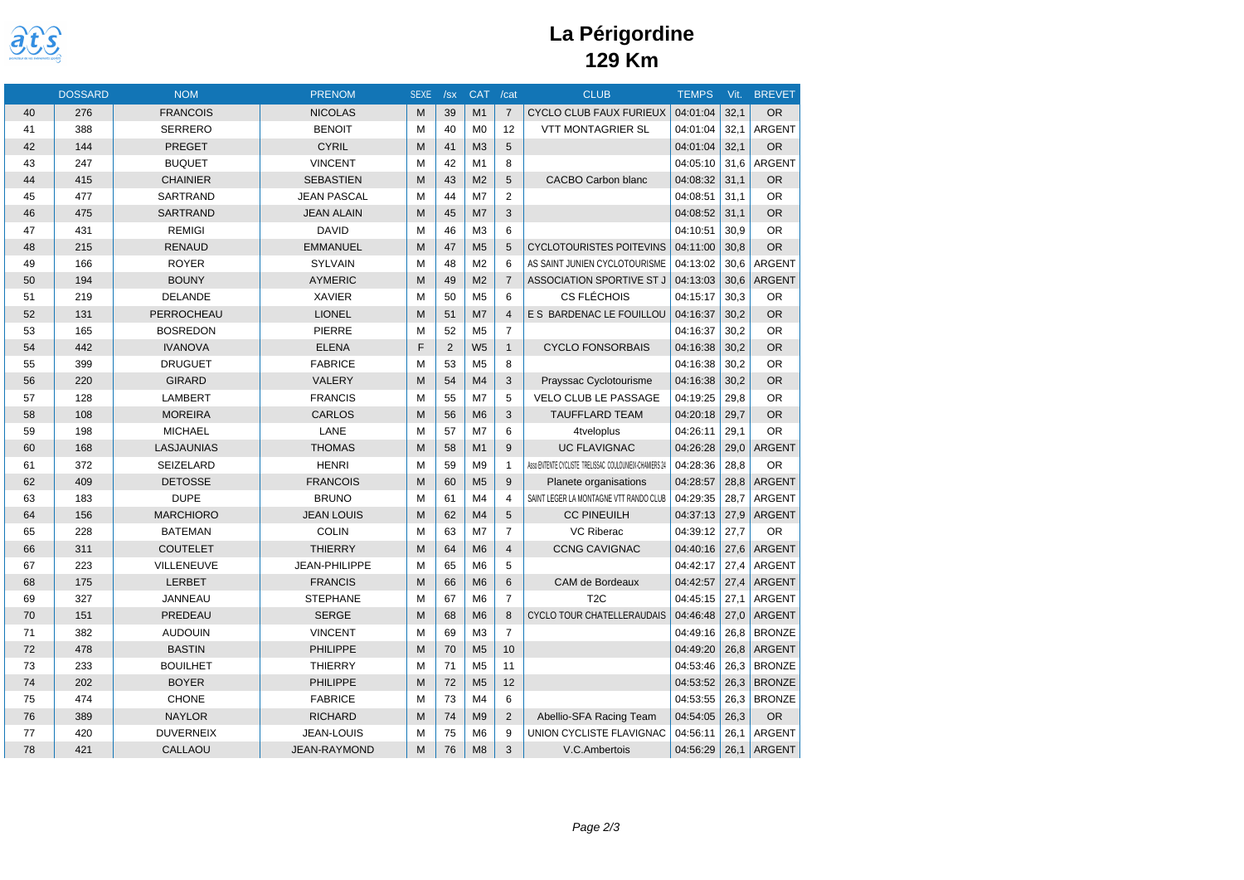

|    | <b>DOSSARD</b> | <b>NOM</b>       | <b>PRENOM</b>        | <b>SEXE</b> | /sx            | <b>CAT</b>     | /cat           | <b>CLUB</b>                                             | <b>TEMPS</b> | Vit. | <b>BREVET</b> |
|----|----------------|------------------|----------------------|-------------|----------------|----------------|----------------|---------------------------------------------------------|--------------|------|---------------|
| 40 | 276            | <b>FRANCOIS</b>  | <b>NICOLAS</b>       | M           | 39             | M1             | $\overline{7}$ | <b>CYCLO CLUB FAUX FURIEUX</b>                          | 04:01:04     | 32,1 | <b>OR</b>     |
| 41 | 388            | <b>SERRERO</b>   | <b>BENOIT</b>        | M           | 40             | M <sub>0</sub> | 12             | <b>VTT MONTAGRIER SL</b>                                | 04:01:04     | 32.1 | <b>ARGENT</b> |
| 42 | 144            | <b>PREGET</b>    | <b>CYRIL</b>         | M           | 41             | M <sub>3</sub> | 5              |                                                         | 04:01:04     | 32,1 | <b>OR</b>     |
| 43 | 247            | <b>BUQUET</b>    | <b>VINCENT</b>       | M           | 42             | M1             | 8              |                                                         | 04:05:10     | 31,6 | <b>ARGENT</b> |
| 44 | 415            | <b>CHAINIER</b>  | <b>SEBASTIEN</b>     | M           | 43             | M <sub>2</sub> | 5              | CACBO Carbon blanc                                      | 04:08:32     | 31.1 | <b>OR</b>     |
| 45 | 477            | SARTRAND         | <b>JEAN PASCAL</b>   | M           | 44             | M7             | $\overline{2}$ |                                                         | 04:08:51     | 31,1 | <b>OR</b>     |
| 46 | 475            | <b>SARTRAND</b>  | <b>JEAN ALAIN</b>    | M           | 45             | M <sub>7</sub> | 3              |                                                         | 04:08:52     | 31,1 | <b>OR</b>     |
| 47 | 431            | <b>REMIGI</b>    | <b>DAVID</b>         | M           | 46             | M <sub>3</sub> | 6              |                                                         | 04:10:51     | 30,9 | <b>OR</b>     |
| 48 | 215            | <b>RENAUD</b>    | <b>EMMANUEL</b>      | M           | 47             | M <sub>5</sub> | 5              | <b>CYCLOTOURISTES POITEVINS</b>                         | 04:11:00     | 30,8 | <b>OR</b>     |
| 49 | 166            | <b>ROYER</b>     | <b>SYLVAIN</b>       | M           | 48             | M <sub>2</sub> | 6              | AS SAINT JUNIEN CYCLOTOURISME                           | 04:13:02     | 30.6 | <b>ARGENT</b> |
| 50 | 194            | <b>BOUNY</b>     | <b>AYMERIC</b>       | M           | 49             | M <sub>2</sub> | $\overline{7}$ | ASSOCIATION SPORTIVE ST J                               | 04:13:03     | 30,6 | <b>ARGENT</b> |
| 51 | 219            | <b>DELANDE</b>   | <b>XAVIER</b>        | M           | 50             | M <sub>5</sub> | 6              | <b>CS FLÉCHOIS</b>                                      | 04:15:17     | 30,3 | <b>OR</b>     |
| 52 | 131            | PERROCHEAU       | <b>LIONEL</b>        | M           | 51             | M <sub>7</sub> | $\overline{4}$ | E S BARDENAC LE FOUILLOU                                | 04:16:37     | 30,2 | <b>OR</b>     |
| 53 | 165            | <b>BOSREDON</b>  | <b>PIERRE</b>        | M           | 52             | M <sub>5</sub> | $\overline{7}$ |                                                         | 04:16:37     | 30,2 | <b>OR</b>     |
| 54 | 442            | <b>IVANOVA</b>   | <b>ELENA</b>         | E           | $\overline{2}$ | W <sub>5</sub> | $\mathbf{1}$   | <b>CYCLO FONSORBAIS</b>                                 | 04:16:38     | 30.2 | <b>OR</b>     |
| 55 | 399            | <b>DRUGUET</b>   | <b>FABRICE</b>       | M           | 53             | M <sub>5</sub> | 8              |                                                         | 04:16:38     | 30,2 | <b>OR</b>     |
| 56 | 220            | <b>GIRARD</b>    | VALERY               | M           | 54             | M <sub>4</sub> | 3              | Prayssac Cyclotourisme                                  | 04:16:38     | 30,2 | <b>OR</b>     |
| 57 | 128            | <b>LAMBERT</b>   | <b>FRANCIS</b>       | M           | 55             | M7             | 5              | VELO CLUB LE PASSAGE                                    | 04:19:25     | 29,8 | <b>OR</b>     |
| 58 | 108            | <b>MOREIRA</b>   | <b>CARLOS</b>        | M           | 56             | M <sub>6</sub> | 3              | <b>TAUFFLARD TEAM</b>                                   | 04:20:18     | 29,7 | <b>OR</b>     |
| 59 | 198            | <b>MICHAEL</b>   | LANE                 | M           | 57             | M <sub>7</sub> | 6              | 4tveloplus                                              | 04:26:11     | 29.1 | <b>OR</b>     |
| 60 | 168            | LASJAUNIAS       | <b>THOMAS</b>        | M           | 58             | M1             | 9              | <b>UC FLAVIGNAC</b>                                     | 04:26:28     | 29,0 | <b>ARGENT</b> |
| 61 | 372            | SEIZELARD        | <b>HENRI</b>         | M           | 59             | M <sub>9</sub> | $\mathbf{1}$   | Asso ENTENTE CYCLISTE TRELISSAC COULOUNIEIX-CHAMIERS 24 | 04:28:36     | 28,8 | <b>OR</b>     |
| 62 | 409            | <b>DETOSSE</b>   | <b>FRANCOIS</b>      | M           | 60             | M <sub>5</sub> | 9              | Planete organisations                                   | 04:28:57     | 28,8 | <b>ARGENT</b> |
| 63 | 183            | <b>DUPE</b>      | <b>BRUNO</b>         | M           | 61             | M <sub>4</sub> | 4              | SAINT LEGER LA MONTAGNE VTT RANDO CLUB                  | 04:29:35     | 28,7 | ARGENT        |
| 64 | 156            | <b>MARCHIORO</b> | <b>JEAN LOUIS</b>    | M           | 62             | M4             | 5              | <b>CC PINEUILH</b>                                      | 04:37:13     | 27,9 | <b>ARGENT</b> |
| 65 | 228            | <b>BATEMAN</b>   | <b>COLIN</b>         | M           | 63             | M7             | $\overline{7}$ | <b>VC Riberac</b>                                       | 04:39:12     | 27,7 | <b>OR</b>     |
| 66 | 311            | <b>COUTELET</b>  | <b>THIERRY</b>       | M           | 64             | M <sub>6</sub> | $\overline{4}$ | <b>CCNG CAVIGNAC</b>                                    | 04:40:16     | 27,6 | <b>ARGENT</b> |
| 67 | 223            | VILLENEUVE       | <b>JEAN-PHILIPPE</b> | M           | 65             | M <sub>6</sub> | 5              |                                                         | 04:42:17     | 27,4 | <b>ARGENT</b> |
| 68 | 175            | <b>LERBET</b>    | <b>FRANCIS</b>       | M           | 66             | M <sub>6</sub> | 6              | CAM de Bordeaux                                         | 04:42:57     | 27,4 | <b>ARGENT</b> |
| 69 | 327            | JANNEAU          | <b>STEPHANE</b>      | M           | 67             | M <sub>6</sub> | $\overline{7}$ | T <sub>2</sub> C                                        | 04:45:15     | 27,1 | <b>ARGENT</b> |
| 70 | 151            | PREDEAU          | <b>SERGE</b>         | M           | 68             | M <sub>6</sub> | 8              | CYCLO TOUR CHATELLERAUDAIS                              | 04:46:48     | 27,0 | <b>ARGENT</b> |
| 71 | 382            | <b>AUDOUIN</b>   | <b>VINCENT</b>       | M           | 69             | M <sub>3</sub> | $\overline{7}$ |                                                         | 04:49:16     | 26,8 | <b>BRONZE</b> |
| 72 | 478            | <b>BASTIN</b>    | <b>PHILIPPE</b>      | M           | 70             | M <sub>5</sub> | 10             |                                                         | 04:49:20     | 26,8 | <b>ARGENT</b> |
| 73 | 233            | <b>BOUILHET</b>  | <b>THIERRY</b>       | M           | 71             | M <sub>5</sub> | 11             |                                                         | 04:53:46     | 26,3 | <b>BRONZE</b> |
| 74 | 202            | <b>BOYER</b>     | <b>PHILIPPE</b>      | M           | 72             | M <sub>5</sub> | 12             |                                                         | 04:53:52     | 26,3 | <b>BRONZE</b> |
| 75 | 474            | <b>CHONE</b>     | <b>FABRICE</b>       | M           | 73             | M <sub>4</sub> | 6              |                                                         | 04:53:55     | 26,3 | <b>BRONZE</b> |
| 76 | 389            | <b>NAYLOR</b>    | <b>RICHARD</b>       | M           | 74             | M <sub>9</sub> | $\overline{2}$ | Abellio-SFA Racing Team                                 | 04:54:05     | 26,3 | OR            |
| 77 | 420            | <b>DUVERNEIX</b> | <b>JEAN-LOUIS</b>    | M           | 75             | M <sub>6</sub> | 9              | UNION CYCLISTE FLAVIGNAC                                | 04:56:11     | 26,1 | <b>ARGENT</b> |
| 78 | 421            | <b>CALLAOU</b>   | <b>JEAN-RAYMOND</b>  | M           | 76             | M8             | 3              | V.C.Ambertois                                           | 04:56:29     | 26,1 | <b>ARGENT</b> |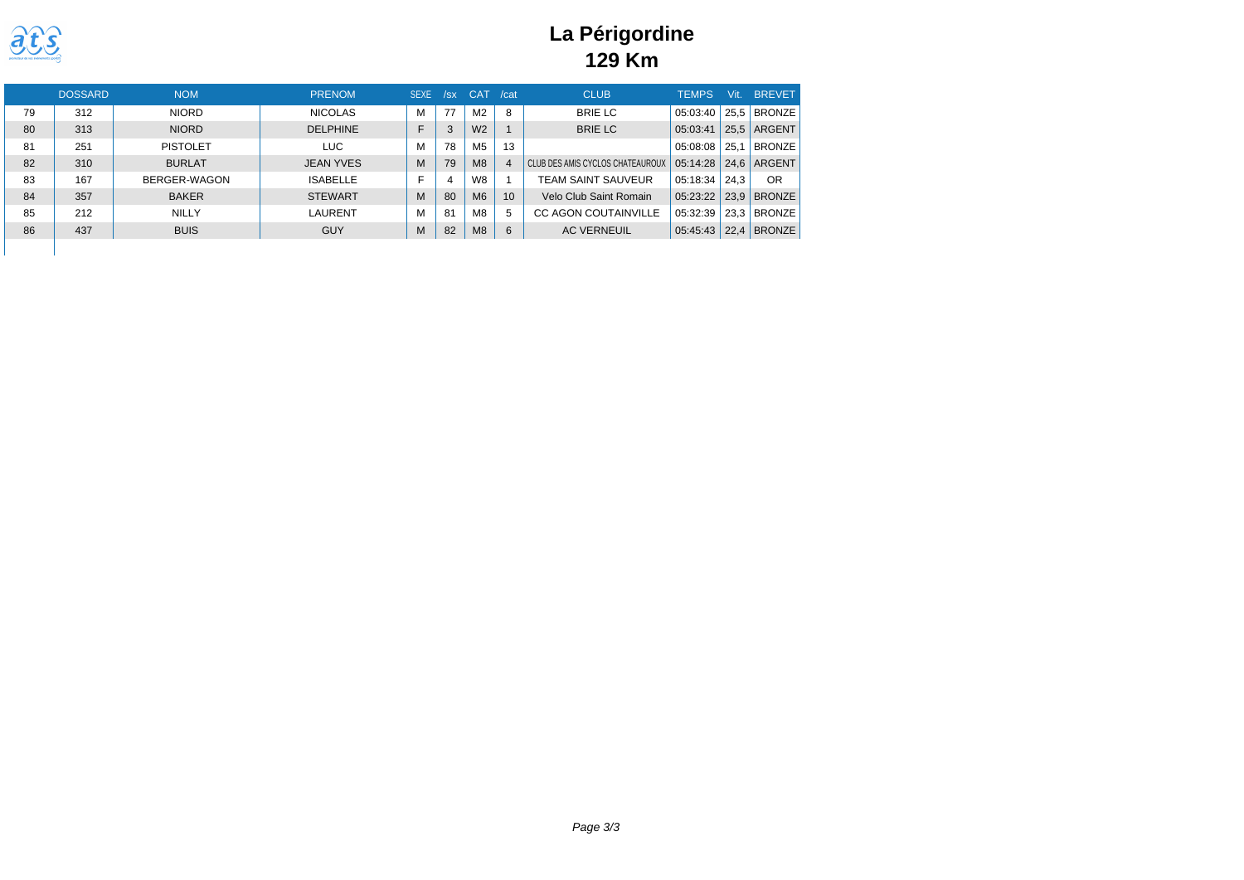

|    | <b>DOSSARD</b> | <b>NOM</b>      | <b>PRENOM</b>    | <b>SEXE</b> | /sx | <b>CAT</b>     | /cat           | <b>CLUB</b>                      | <b>TEMPS</b> | Vit. | <b>BREVET</b> |
|----|----------------|-----------------|------------------|-------------|-----|----------------|----------------|----------------------------------|--------------|------|---------------|
| 79 | 312            | <b>NIORD</b>    | <b>NICOLAS</b>   | М           | 77  | M <sub>2</sub> | 8              | <b>BRIE LC</b>                   | 05:03:40     | 25.5 | <b>BRONZE</b> |
| 80 | 313            | <b>NIORD</b>    | <b>DELPHINE</b>  |             |     | W <sub>2</sub> |                | <b>BRIE LC</b>                   | 05:03:41     | 25.5 | ARGENT        |
| 81 | 251            | <b>PISTOLET</b> | LUC.             | М           | 78  | M5             | 13             |                                  | 05:08:08     | 25.1 | <b>BRONZE</b> |
| 82 | 310            | <b>BURLAT</b>   | <b>JEAN YVES</b> | М           | 79  | M8             | $\overline{4}$ | CLUB DES AMIS CYCLOS CHATEAUROUX | 05:14:28     | 24.6 | ARGENT        |
| 83 | 167            | BERGER-WAGON    | <b>ISABELLE</b>  |             |     | W8             |                | TEAM SAINT SAUVEUR               | 05:18:34     | 24.3 | OR            |
| 84 | 357            | <b>BAKER</b>    | <b>STEWART</b>   | М           | 80  | M <sub>6</sub> | 10             | Velo Club Saint Romain           | 05:23:22     | 23.9 | <b>BRONZE</b> |
| 85 | 212            | NILLY           | LAURENT          | М           | 81  | M8             | 5              | <b>CC AGON COUTAINVILLE</b>      | 05:32:39     | 23.3 | <b>BRONZE</b> |
| 86 | 437            | <b>BUIS</b>     | <b>GUY</b>       | M           | 82  | M8             | 6              | <b>AC VERNEUIL</b>               | 05:45:43     | 22.4 | <b>BRONZE</b> |
|    |                |                 |                  |             |     |                |                |                                  |              |      |               |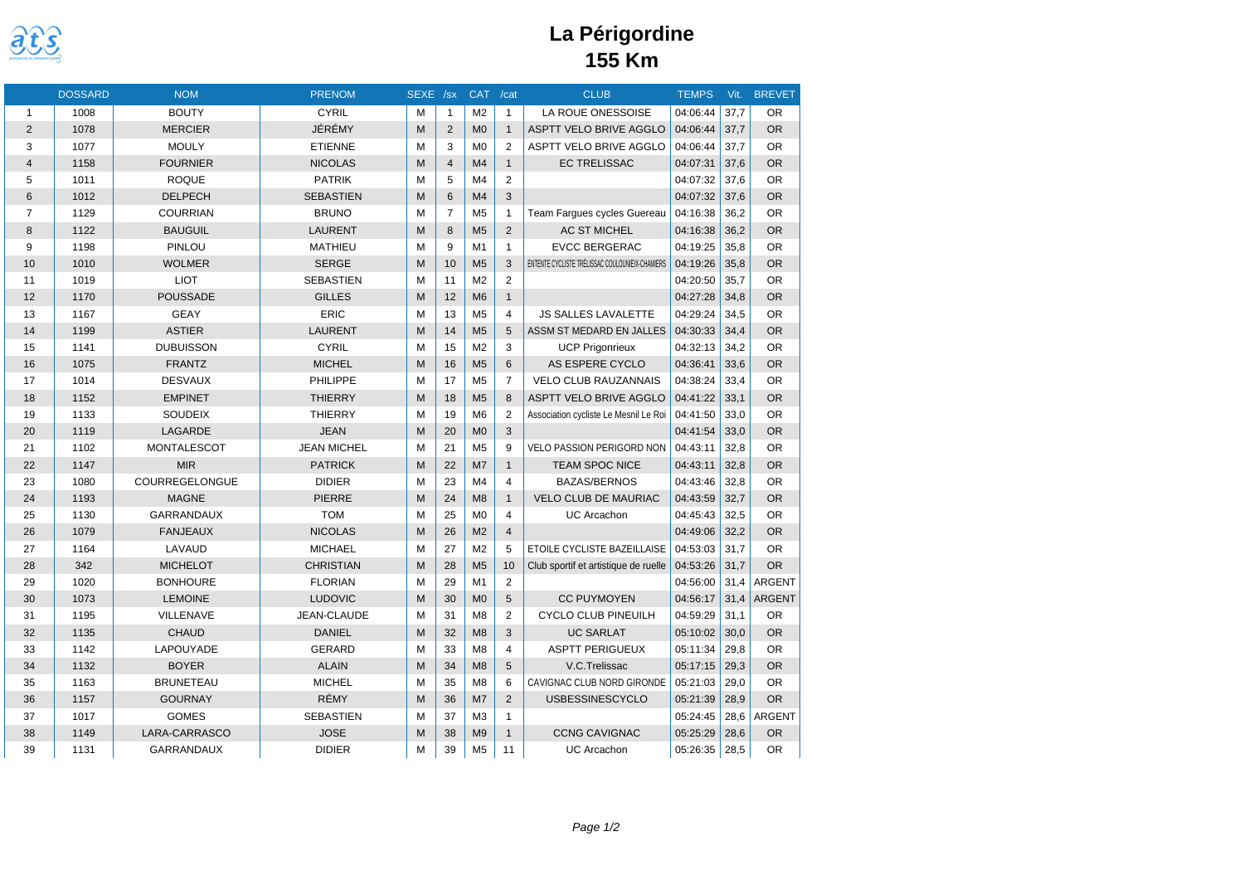

### **La Périgordine 155 Km**

|                | <b>DOSSARD</b> | <b>NOM</b>        | <b>PRENOM</b>      | SEXE /sx |                 | <b>CAT</b>     | /cat            | <b>CLUB</b>                                     | <b>TEMPS</b> | Vit. | <b>BREVET</b> |
|----------------|----------------|-------------------|--------------------|----------|-----------------|----------------|-----------------|-------------------------------------------------|--------------|------|---------------|
| $\mathbf{1}$   | 1008           | <b>BOUTY</b>      | <b>CYRIL</b>       | M        | $\mathbf{1}$    | M <sub>2</sub> | $\mathbf{1}$    | LA ROUE ONESSOISE                               | 04:06:44     | 37,7 | <b>OR</b>     |
| $\overline{2}$ | 1078           | <b>MERCIER</b>    | JÉRÉMY             | M        | $\overline{2}$  | M <sub>0</sub> | $\mathbf{1}$    | <b>ASPTT VELO BRIVE AGGLO</b>                   | 04:06:44     | 37.7 | <b>OR</b>     |
| 3              | 1077           | <b>MOULY</b>      | <b>ETIENNE</b>     | M        | 3               | M <sub>0</sub> | 2               | <b>ASPTT VELO BRIVE AGGLO</b>                   | 04:06:44     | 37.7 | <b>OR</b>     |
| $\overline{4}$ | 1158           | <b>FOURNIER</b>   | <b>NICOLAS</b>     | M        | $\overline{4}$  | M <sub>4</sub> | $\mathbf{1}$    | <b>EC TRELISSAC</b>                             | 04:07:31     | 37.6 | <b>OR</b>     |
| 5              | 1011           | <b>ROQUE</b>      | <b>PATRIK</b>      | M        | 5               | M <sub>4</sub> | $\overline{2}$  |                                                 | 04:07:32     | 37.6 | <b>OR</b>     |
| 6              | 1012           | <b>DELPECH</b>    | <b>SEBASTIEN</b>   | M        | $6\phantom{1}6$ | M <sub>4</sub> | 3               |                                                 | 04:07:32     | 37,6 | <b>OR</b>     |
| $\overline{7}$ | 1129           | <b>COURRIAN</b>   | <b>BRUNO</b>       | M        | $\overline{7}$  | M <sub>5</sub> | $\mathbf{1}$    | Team Fargues cycles Guereau                     | 04:16:38     | 36,2 | <b>OR</b>     |
| 8              | 1122           | <b>BAUGUIL</b>    | <b>LAURENT</b>     | M        | 8               | M <sub>5</sub> | 2               | <b>AC ST MICHEL</b>                             | 04:16:38     | 36.2 | <b>OR</b>     |
| 9              | 1198           | PINLOU            | <b>MATHIEU</b>     | M        | 9               | M1             | $\mathbf{1}$    | <b>EVCC BERGERAC</b>                            | 04:19:25     | 35.8 | <b>OR</b>     |
| 10             | 1010           | <b>WOLMER</b>     | <b>SERGE</b>       | M        | 10              | M <sub>5</sub> | 3               | ENTENTE CYCLISTE TRÉLISSAC COULOUNIEIX-CHAMIERS | 04:19:26     | 35.8 | <b>OR</b>     |
| 11             | 1019           | <b>LIOT</b>       | <b>SEBASTIEN</b>   | M        | 11              | M <sub>2</sub> | $\overline{2}$  |                                                 | 04:20:50     | 35,7 | <b>OR</b>     |
| 12             | 1170           | <b>POUSSADE</b>   | <b>GILLES</b>      | M        | 12              | M <sub>6</sub> | $\mathbf{1}$    |                                                 | 04:27:28     | 34.8 | <b>OR</b>     |
| 13             | 1167           | <b>GEAY</b>       | ERIC               | M        | 13              | M <sub>5</sub> | $\overline{4}$  | <b>JS SALLES LAVALETTE</b>                      | 04:29:24     | 34,5 | <b>OR</b>     |
| 14             | 1199           | <b>ASTIER</b>     | LAURENT            | M        | 14              | M <sub>5</sub> | 5               | ASSM ST MEDARD EN JALLES                        | 04:30:33     | 34.4 | <b>OR</b>     |
| 15             | 1141           | <b>DUBUISSON</b>  | <b>CYRIL</b>       | M        | 15              | M <sub>2</sub> | 3               | <b>UCP Prigonrieux</b>                          | 04:32:13     | 34.2 | <b>OR</b>     |
| 16             | 1075           | <b>FRANTZ</b>     | <b>MICHEL</b>      | M        | 16              | M <sub>5</sub> | $6\overline{6}$ | AS ESPERE CYCLO                                 | 04:36:41     | 33,6 | <b>OR</b>     |
| 17             | 1014           | <b>DESVAUX</b>    | <b>PHILIPPE</b>    | M        | 17              | M <sub>5</sub> | $\overline{7}$  | <b>VELO CLUB RAUZANNAIS</b>                     | 04:38:24     | 33.4 | <b>OR</b>     |
| 18             | 1152           | <b>EMPINET</b>    | <b>THIERRY</b>     | M        | 18              | M <sub>5</sub> | 8               | <b>ASPTT VELO BRIVE AGGLO</b>                   | 04:41:22     | 33,1 | <b>OR</b>     |
| 19             | 1133           | <b>SOUDEIX</b>    | <b>THIERRY</b>     | M        | 19              | M <sub>6</sub> | $\overline{2}$  | Association cycliste Le Mesnil Le Roi           | 04:41:50     | 33.0 | <b>OR</b>     |
| 20             | 1119           | <b>LAGARDE</b>    | <b>JEAN</b>        | M        | 20              | M <sub>0</sub> | 3               |                                                 | 04:41:54     | 33,0 | <b>OR</b>     |
| 21             | 1102           | MONTALESCOT       | <b>JEAN MICHEL</b> | M        | 21              | M <sub>5</sub> | 9               | VELO PASSION PERIGORD NON                       | 04:43:11     | 32,8 | <b>OR</b>     |
| 22             | 1147           | <b>MIR</b>        | <b>PATRICK</b>     | M        | 22              | M <sub>7</sub> | $\mathbf{1}$    | <b>TEAM SPOC NICE</b>                           | 04:43:11     | 32.8 | <b>OR</b>     |
| 23             | 1080           | COURREGELONGUE    | <b>DIDIER</b>      | M        | 23              | M <sub>4</sub> | $\overline{4}$  | <b>BAZAS/BERNOS</b>                             | 04:43:46     | 32,8 | <b>OR</b>     |
| 24             | 1193           | <b>MAGNE</b>      | <b>PIERRE</b>      | M        | 24              | M8             | $\mathbf{1}$    | <b>VELO CLUB DE MAURIAC</b>                     | 04:43:59     | 32.7 | <b>OR</b>     |
| 25             | 1130           | <b>GARRANDAUX</b> | <b>TOM</b>         | M        | 25              | M <sub>0</sub> | $\overline{4}$  | <b>UC Arcachon</b>                              | 04:45:43     | 32,5 | <b>OR</b>     |
| 26             | 1079           | <b>FANJEAUX</b>   | <b>NICOLAS</b>     | M        | 26              | M <sub>2</sub> | $\overline{4}$  |                                                 | 04:49:06     | 32,2 | <b>OR</b>     |
| 27             | 1164           | LAVAUD            | <b>MICHAEL</b>     | M        | 27              | M <sub>2</sub> | 5               | ETOILE CYCLISTE BAZEILLAISE                     | 04:53:03     | 31.7 | <b>OR</b>     |
| 28             | 342            | <b>MICHELOT</b>   | <b>CHRISTIAN</b>   | M        | 28              | M <sub>5</sub> | 10              | Club sportif et artistique de ruelle            | 04:53:26     | 31,7 | <b>OR</b>     |
| 29             | 1020           | <b>BONHOURE</b>   | <b>FLORIAN</b>     | M        | 29              | M1             | 2               |                                                 | 04:56:00     | 31.4 | <b>ARGENT</b> |
| 30             | 1073           | <b>LEMOINE</b>    | <b>LUDOVIC</b>     | M        | 30              | M <sub>0</sub> | 5               | <b>CC PUYMOYEN</b>                              | 04:56:17     | 31,4 | <b>ARGENT</b> |
| 31             | 1195           | VILLENAVE         | JEAN-CLAUDE        | M        | 31              | M <sub>8</sub> | $\overline{2}$  | CYCLO CLUB PINEUILH                             | 04:59:29     | 31.1 | <b>OR</b>     |
| 32             | 1135           | <b>CHAUD</b>      | <b>DANIEL</b>      | M        | 32              | M8             | 3               | <b>UC SARLAT</b>                                | 05:10:02     | 30,0 | <b>OR</b>     |
| 33             | 1142           | LAPOUYADE         | <b>GERARD</b>      | M        | 33              | M <sub>8</sub> | $\overline{4}$  | <b>ASPTT PERIGUEUX</b>                          | 05:11:34     | 29,8 | <b>OR</b>     |
| 34             | 1132           | <b>BOYER</b>      | <b>ALAIN</b>       | M        | 34              | M8             | 5               | V.C.Trelissac                                   | 05:17:15     | 29,3 | <b>OR</b>     |
| 35             | 1163           | <b>BRUNETEAU</b>  | <b>MICHEL</b>      | M        | 35              | M <sub>8</sub> | 6               | CAVIGNAC CLUB NORD GIRONDE                      | 05:21:03     | 29,0 | <b>OR</b>     |
| 36             | 1157           | <b>GOURNAY</b>    | <b>RÉMY</b>        | M        | 36              | M <sub>7</sub> | 2               | <b>USBESSINESCYCLO</b>                          | 05:21:39     | 28,9 | <b>OR</b>     |
| 37             | 1017           | <b>GOMES</b>      | <b>SEBASTIEN</b>   | M        | 37              | M <sub>3</sub> | $\mathbf{1}$    |                                                 | 05:24:45     | 28,6 | <b>ARGENT</b> |
| 38             | 1149           | LARA-CARRASCO     | <b>JOSE</b>        | M        | 38              | M <sub>9</sub> | $\mathbf{1}$    | <b>CCNG CAVIGNAC</b>                            | 05:25:29     | 28,6 | <b>OR</b>     |
| 39             | 1131           | <b>GARRANDAUX</b> | <b>DIDIER</b>      | M        | 39              | M <sub>5</sub> | 11              | <b>UC Arcachon</b>                              | 05:26:35     | 28,5 | <b>OR</b>     |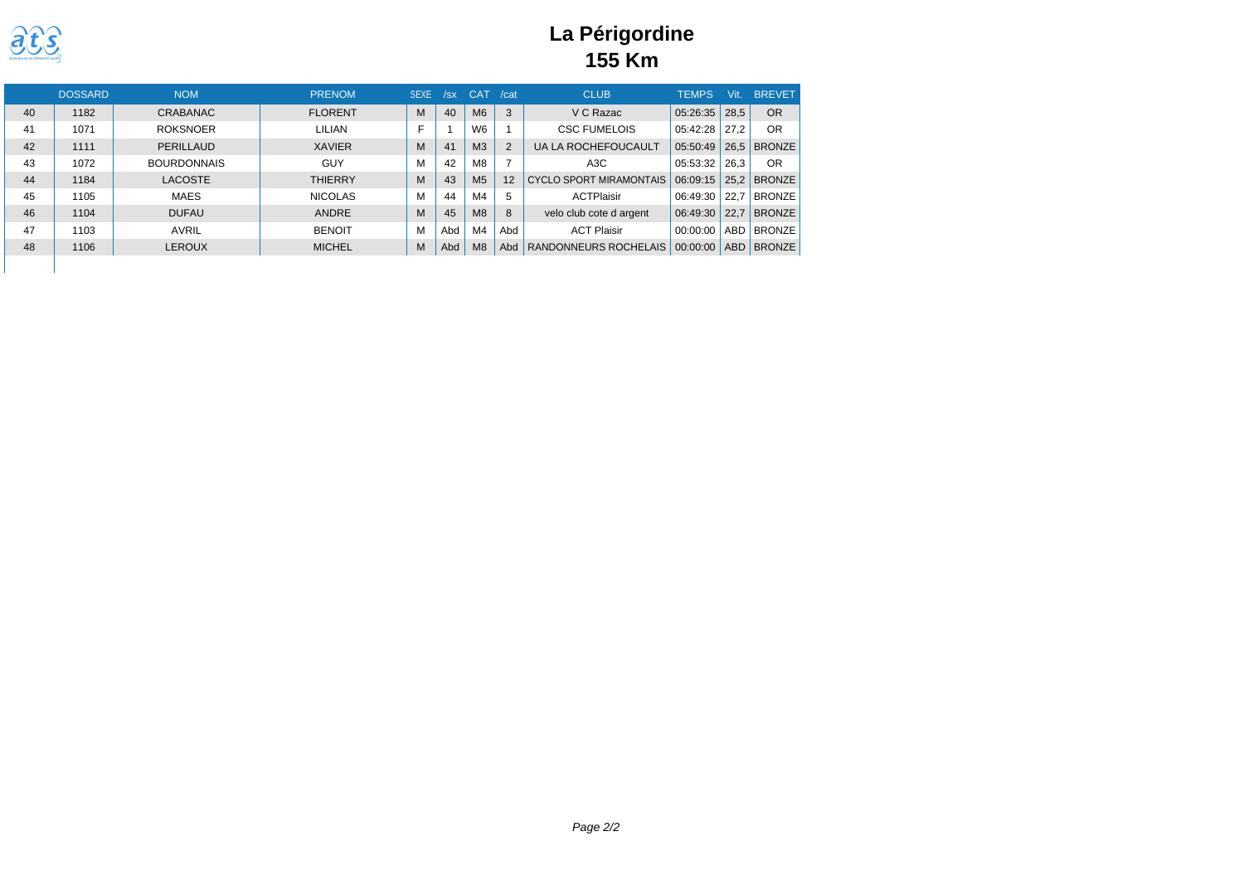

### **La Périgordine 155 Km**

|    | <b>DOSSARD</b> | <b>NOM</b>         | <b>PRENOM</b>  | <b>SEXE</b> | /sx | <b>CAT</b>     | /cat | <b>CLUB</b>                | <b>TEMPS</b> | Vit  | <b>BREVET</b> |
|----|----------------|--------------------|----------------|-------------|-----|----------------|------|----------------------------|--------------|------|---------------|
| 40 | 1182           | CRABANAC           | <b>FLORENT</b> | M           | 40  | M6             | 3    | V C Razac                  | 05:26:35     | 28.5 | OR            |
| 41 | 1071           | <b>ROKSNOER</b>    | LILIAN         |             |     | W <sub>6</sub> |      | <b>CSC FUMELOIS</b>        | 05:42:28     | 27.2 | OR            |
| 42 | 1111           | PERILLAUD          | <b>XAVIER</b>  | М           | 41  | M <sub>3</sub> | 2    | <b>UA LA ROCHEFOUCAULT</b> | 05:50:49     | 26.5 | <b>BRONZE</b> |
| 43 | 1072           | <b>BOURDONNAIS</b> | GUY            | м           | 42  | M8             |      | A3C                        | 05:53:32     | 26.3 | OR            |
| 44 | 1184           | <b>LACOSTE</b>     | <b>THIERRY</b> | М           | 43  | M <sub>5</sub> | 12   | CYCLO SPORT MIRAMONTAIS    | 06:09:15     | 25.2 | <b>BRONZE</b> |
| 45 | 1105           | <b>MAES</b>        | <b>NICOLAS</b> | м           | 44  | M <sub>4</sub> | 5    | ACTPlaisir                 | 06:49:30     | 22.7 | <b>BRONZE</b> |
| 46 | 1104           | <b>DUFAU</b>       | <b>ANDRE</b>   | М           | 45  | M8             | 8    | velo club cote d argent    | 06:49:30     | 22.7 | <b>BRONZE</b> |
| 47 | 1103           | AVRIL              | <b>BENOIT</b>  | М           | Abd | M <sub>4</sub> | Abd  | <b>ACT Plaisir</b>         | 00:00:00     | ABD  | <b>BRONZE</b> |
| 48 | 1106           | <b>LEROUX</b>      | <b>MICHEL</b>  | М           | Abd | M8             | Abd  | RANDONNEURS ROCHELAIS      | 00:00:00     | ABD  | <b>BRONZE</b> |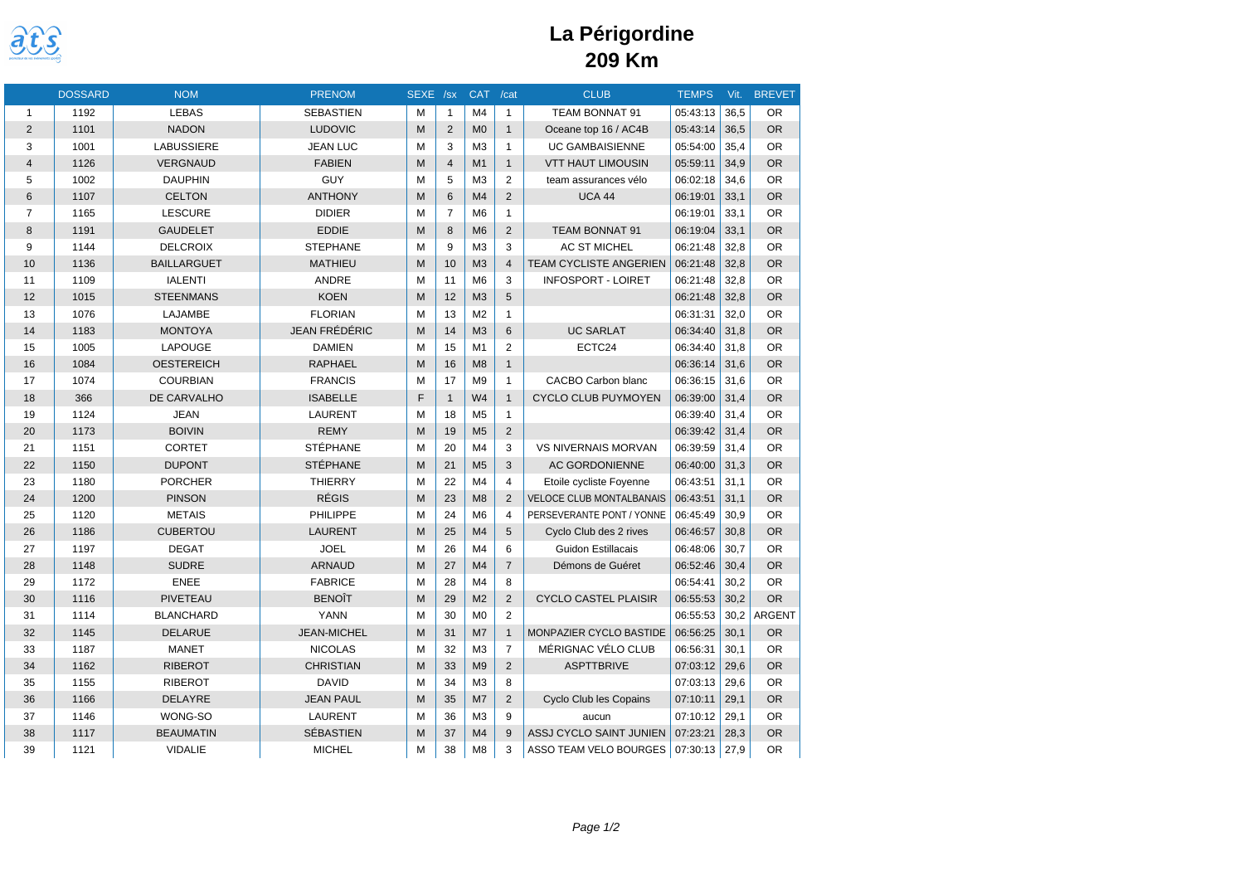

|                         | <b>DOSSARD</b> | <b>NOM</b>         | <b>PRENOM</b>        | SEXE /sx |                 | <b>CAT</b>     | /cat           | <b>CLUB</b>                     | <b>TEMPS</b> | Vit. | <b>BREVET</b> |
|-------------------------|----------------|--------------------|----------------------|----------|-----------------|----------------|----------------|---------------------------------|--------------|------|---------------|
| $\mathbf{1}$            | 1192           | <b>LEBAS</b>       | <b>SEBASTIEN</b>     | M        | $\mathbf{1}$    | M <sub>4</sub> | $\mathbf{1}$   | TEAM BONNAT 91                  | 05:43:13     | 36,5 | <b>OR</b>     |
| $\overline{2}$          | 1101           | <b>NADON</b>       | <b>LUDOVIC</b>       | M        | 2               | M <sub>0</sub> | $\mathbf{1}$   | Oceane top 16 / AC4B            | 05:43:14     | 36.5 | <b>OR</b>     |
| 3                       | 1001           | <b>LABUSSIERE</b>  | <b>JEAN LUC</b>      | M        | 3               | M <sub>3</sub> | $\mathbf{1}$   | <b>UC GAMBAISIENNE</b>          | 05:54:00     | 35.4 | <b>OR</b>     |
| $\overline{\mathbf{4}}$ | 1126           | <b>VERGNAUD</b>    | <b>FABIEN</b>        | M        | $\overline{4}$  | M1             | $\mathbf{1}$   | <b>VTT HAUT LIMOUSIN</b>        | 05:59:11     | 34,9 | <b>OR</b>     |
| 5                       | 1002           | <b>DAUPHIN</b>     | GUY                  | M        | 5               | M <sub>3</sub> | 2              | team assurances vélo            | 06:02:18     | 34.6 | <b>OR</b>     |
| $6\phantom{a}$          | 1107           | <b>CELTON</b>      | <b>ANTHONY</b>       | M        | $6\phantom{1}6$ | M4             | $\overline{2}$ | <b>UCA 44</b>                   | 06:19:01     | 33,1 | <b>OR</b>     |
| $\overline{7}$          | 1165           | <b>LESCURE</b>     | <b>DIDIER</b>        | M        | $\overline{7}$  | M <sub>6</sub> | $\mathbf{1}$   |                                 | 06:19:01     | 33.1 | <b>OR</b>     |
| 8                       | 1191           | <b>GAUDELET</b>    | <b>EDDIE</b>         | M        | 8               | M <sub>6</sub> | 2              | TEAM BONNAT 91                  | 06:19:04     | 33,1 | <b>OR</b>     |
| 9                       | 1144           | <b>DELCROIX</b>    | <b>STEPHANE</b>      | M        | 9               | M <sub>3</sub> | 3              | <b>AC ST MICHEL</b>             | 06:21:48     | 32.8 | <b>OR</b>     |
| 10                      | 1136           | <b>BAILLARGUET</b> | <b>MATHIEU</b>       | M        | 10              | M <sub>3</sub> | $\overline{4}$ | <b>TEAM CYCLISTE ANGERIEN</b>   | 06:21:48     | 32.8 | <b>OR</b>     |
| 11                      | 1109           | <b>IALENTI</b>     | ANDRE                | M        | 11              | M <sub>6</sub> | 3              | <b>INFOSPORT - LOIRET</b>       | 06:21:48     | 32,8 | <b>OR</b>     |
| 12                      | 1015           | <b>STEENMANS</b>   | <b>KOEN</b>          | M        | 12              | M <sub>3</sub> | 5              |                                 | 06:21:48     | 32.8 | <b>OR</b>     |
| 13                      | 1076           | LAJAMBE            | <b>FLORIAN</b>       | M        | 13              | M <sub>2</sub> | $\mathbf{1}$   |                                 | 06:31:31     | 32,0 | <b>OR</b>     |
| 14                      | 1183           | <b>MONTOYA</b>     | <b>JEAN FRÉDÉRIC</b> | M        | 14              | M <sub>3</sub> | 6              | <b>UC SARLAT</b>                | 06:34:40     | 31.8 | <b>OR</b>     |
| 15                      | 1005           | LAPOUGE            | <b>DAMIEN</b>        | M        | 15              | M1             | $\overline{2}$ | ECTC24                          | 06:34:40     | 31.8 | <b>OR</b>     |
| 16                      | 1084           | <b>OESTEREICH</b>  | <b>RAPHAEL</b>       | M        | 16              | M8             | $\mathbf{1}$   |                                 | 06:36:14     | 31,6 | <b>OR</b>     |
| 17                      | 1074           | <b>COURBIAN</b>    | <b>FRANCIS</b>       | M        | 17              | M <sub>9</sub> | $\mathbf{1}$   | <b>CACBO Carbon blanc</b>       | 06:36:15     | 31.6 | <b>OR</b>     |
| 18                      | 366            | DE CARVALHO        | <b>ISABELLE</b>      | F        | $\overline{1}$  | W <sub>4</sub> | $\mathbf{1}$   | <b>CYCLO CLUB PUYMOYEN</b>      | 06:39:00     | 31,4 | <b>OR</b>     |
| 19                      | 1124           | <b>JEAN</b>        | <b>LAURENT</b>       | M        | 18              | M <sub>5</sub> | $\mathbf{1}$   |                                 | 06:39:40     | 31.4 | <b>OR</b>     |
| 20                      | 1173           | <b>BOIVIN</b>      | <b>REMY</b>          | M        | 19              | M <sub>5</sub> | $\overline{2}$ |                                 | 06:39:42     | 31,4 | <b>OR</b>     |
| 21                      | 1151           | <b>CORTET</b>      | <b>STÉPHANE</b>      | M        | 20              | M4             | 3              | <b>VS NIVERNAIS MORVAN</b>      | 06:39:59     | 31,4 | <b>OR</b>     |
| 22                      | 1150           | <b>DUPONT</b>      | STÉPHANE             | M        | 21              | M <sub>5</sub> | 3              | <b>AC GORDONIENNE</b>           | 06:40:00     | 31.3 | <b>OR</b>     |
| 23                      | 1180           | <b>PORCHER</b>     | <b>THIERRY</b>       | M        | 22              | M4             | $\overline{4}$ | Etoile cycliste Foyenne         | 06:43:51     | 31,1 | <b>OR</b>     |
| 24                      | 1200           | <b>PINSON</b>      | <b>RÉGIS</b>         | M        | 23              | M8             | 2              | <b>VELOCE CLUB MONTALBANAIS</b> | 06:43:51     | 31.1 | <b>OR</b>     |
| 25                      | 1120           | <b>METAIS</b>      | PHILIPPE             | M        | 24              | M <sub>6</sub> | $\overline{4}$ | PERSEVERANTE PONT / YONNE       | 06:45:49     | 30.9 | <b>OR</b>     |
| 26                      | 1186           | <b>CUBERTOU</b>    | <b>LAURENT</b>       | M        | 25              | M4             | 5              | Cyclo Club des 2 rives          | 06:46:57     | 30,8 | <b>OR</b>     |
| 27                      | 1197           | <b>DEGAT</b>       | <b>JOEL</b>          | M        | 26              | M <sub>4</sub> | 6              | <b>Guidon Estillacais</b>       | 06:48:06     | 30.7 | <b>OR</b>     |
| 28                      | 1148           | <b>SUDRE</b>       | <b>ARNAUD</b>        | M        | 27              | M <sub>4</sub> | $\overline{7}$ | Démons de Guéret                | 06:52:46     | 30,4 | <b>OR</b>     |
| 29                      | 1172           | <b>ENEE</b>        | <b>FABRICE</b>       | M        | 28              | M <sub>4</sub> | 8              |                                 | 06:54:41     | 30.2 | <b>OR</b>     |
| 30                      | 1116           | <b>PIVETEAU</b>    | <b>BENOÎT</b>        | M        | 29              | M <sub>2</sub> | $\overline{2}$ | <b>CYCLO CASTEL PLAISIR</b>     | 06:55:53     | 30,2 | <b>OR</b>     |
| 31                      | 1114           | <b>BLANCHARD</b>   | YANN                 | M        | 30              | M <sub>0</sub> | 2              |                                 | 06:55:53     | 30,2 | <b>ARGENT</b> |
| 32                      | 1145           | <b>DELARUE</b>     | <b>JEAN-MICHEL</b>   | M        | 31              | M <sub>7</sub> | $\mathbf{1}$   | MONPAZIER CYCLO BASTIDE         | 06:56:25     | 30.1 | <b>OR</b>     |
| 33                      | 1187           | <b>MANET</b>       | <b>NICOLAS</b>       | M        | 32              | M <sub>3</sub> | $\overline{7}$ | MÉRIGNAC VÉLO CLUB              | 06:56:31     | 30,1 | <b>OR</b>     |
| 34                      | 1162           | <b>RIBEROT</b>     | <b>CHRISTIAN</b>     | M        | 33              | M <sub>9</sub> | 2              | <b>ASPTTBRIVE</b>               | 07:03:12     | 29.6 | <b>OR</b>     |
| 35                      | 1155           | <b>RIBEROT</b>     | <b>DAVID</b>         | M        | 34              | M <sub>3</sub> | 8              |                                 | 07:03:13     | 29,6 | <b>OR</b>     |
| 36                      | 1166           | <b>DELAYRE</b>     | <b>JEAN PAUL</b>     | M        | 35              | M <sub>7</sub> | 2              | <b>Cyclo Club les Copains</b>   | 07:10:11     | 29.1 | <b>OR</b>     |
| 37                      | 1146           | WONG-SO            | <b>LAURENT</b>       | M        | 36              | M <sub>3</sub> | 9              | aucun                           | 07:10:12     | 29,1 | <b>OR</b>     |
| 38                      | 1117           | <b>BEAUMATIN</b>   | <b>SÉBASTIEN</b>     | M        | 37              | M4             | 9              | ASSJ CYCLO SAINT JUNIEN         | 07:23:21     | 28,3 | <b>OR</b>     |
| 39                      | 1121           | <b>VIDALIE</b>     | <b>MICHEL</b>        | M        | 38              | M <sub>8</sub> | 3              | ASSO TEAM VELO BOURGES          | 07:30:13     | 27,9 | <b>OR</b>     |